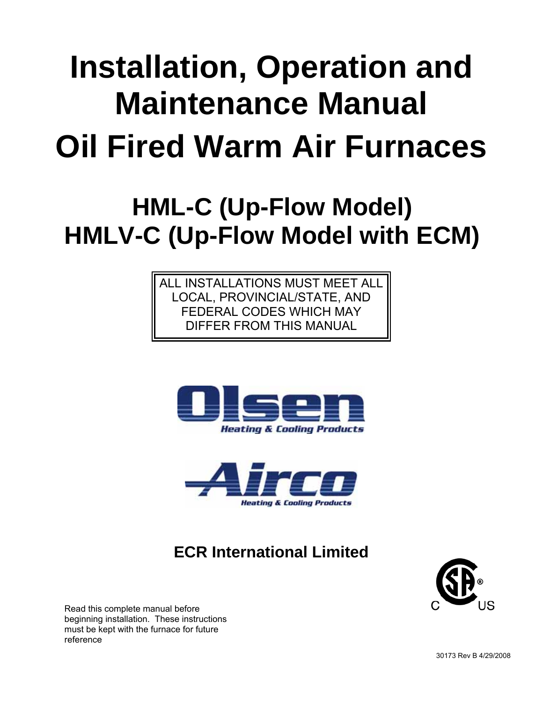# **Installation, Operation and Maintenance Manual Oil Fired Warm Air Furnaces**

# **HML-C (Up-Flow Model) HMLV-C (Up-Flow Model with ECM)**

ALL INSTALLATIONS MUST MEET ALL LOCAL, PROVINCIAL/STATE, AND FEDERAL CODES WHICH MAY DIFFER FROM THIS MANUAL





## **ECR International Limited**



Read this complete manual before beginning installation. These instructions must be kept with the furnace for future reference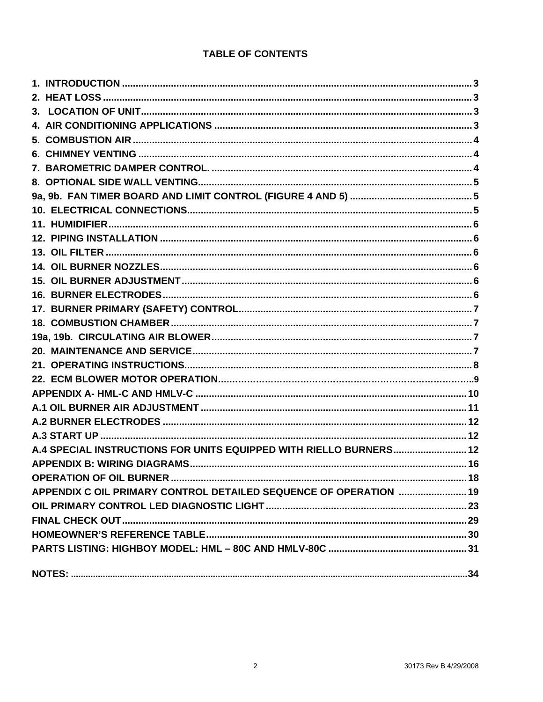#### **TABLE OF CONTENTS**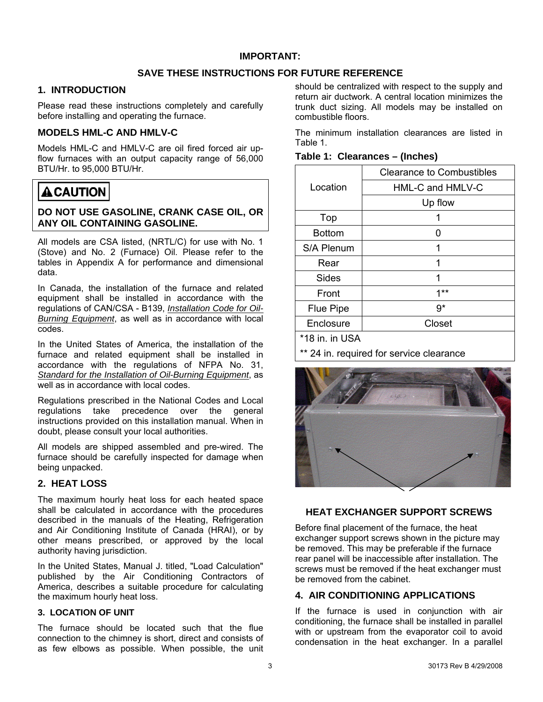#### **SAVE THESE INSTRUCTIONS FOR FUTURE REFERENCE**

#### <span id="page-2-0"></span>**1. INTRODUCTION**

Please read these instructions completely and carefully before installing and operating the furnace.

#### **MODELS HML-C AND HMLV-C**

Models HML-C and HMLV-C are oil fired forced air upflow furnaces with an output capacity range of 56,000 BTU/Hr. to 95,000 BTU/Hr.

## **ACAUTION**

#### **DO NOT USE GASOLINE, CRANK CASE OIL, OR ANY OIL CONTAINING GASOLINE.**

All models are CSA listed, (NRTL/C) for use with No. 1 (Stove) and No. 2 (Furnace) Oil. Please refer to the tables in Appendix A for performance and dimensional data.

In Canada, the installation of the furnace and related equipment shall be installed in accordance with the regulations of CAN/CSA - B139, *Installation Code for Oil-Burning Equipment*, as well as in accordance with local codes.

In the United States of America, the installation of the furnace and related equipment shall be installed in accordance with the regulations of NFPA No. 31, *Standard for the Installation of Oil-Burning Equipment*, as well as in accordance with local codes.

Regulations prescribed in the National Codes and Local regulations take precedence over the general instructions provided on this installation manual. When in doubt, please consult your local authorities.

All models are shipped assembled and pre-wired. The furnace should be carefully inspected for damage when being unpacked.

#### **2. HEAT LOSS**

The maximum hourly heat loss for each heated space shall be calculated in accordance with the procedures described in the manuals of the Heating, Refrigeration and Air Conditioning Institute of Canada (HRAI), or by other means prescribed, or approved by the local authority having jurisdiction.

In the United States, Manual J. titled, "Load Calculation" published by the Air Conditioning Contractors of America, describes a suitable procedure for calculating the maximum hourly heat loss.

#### **3. LOCATION OF UNIT**

The furnace should be located such that the flue connection to the chimney is short, direct and consists of as few elbows as possible. When possible, the unit

should be centralized with respect to the supply and return air ductwork. A central location minimizes the trunk duct sizing. All models may be installed on combustible floors.

The minimum installation clearances are listed in Table 1.

| Table 1: Clearances - (Inches) |
|--------------------------------|
|--------------------------------|

|                  | <b>Clearance to Combustibles</b> |
|------------------|----------------------------------|
| Location         | HML-C and HMLV-C                 |
|                  | Up flow                          |
| Top              |                                  |
| <b>Bottom</b>    | 0                                |
| S/A Plenum       | 1                                |
| Rear             | 1                                |
| Sides            | 1                                |
| Front            | $1**$                            |
| <b>Flue Pipe</b> | 9*                               |
| Enclosure        | Closet                           |
|                  |                                  |

\*18 in. in USA

\*\* 24 in. required for service clearance



#### **HEAT EXCHANGER SUPPORT SCREWS**

Before final placement of the furnace, the heat exchanger support screws shown in the picture may be removed. This may be preferable if the furnace rear panel will be inaccessible after installation. The screws must be removed if the heat exchanger must be removed from the cabinet.

#### **4. AIR CONDITIONING APPLICATIONS**

If the furnace is used in conjunction with air conditioning, the furnace shall be installed in parallel with or upstream from the evaporator coil to avoid condensation in the heat exchanger. In a parallel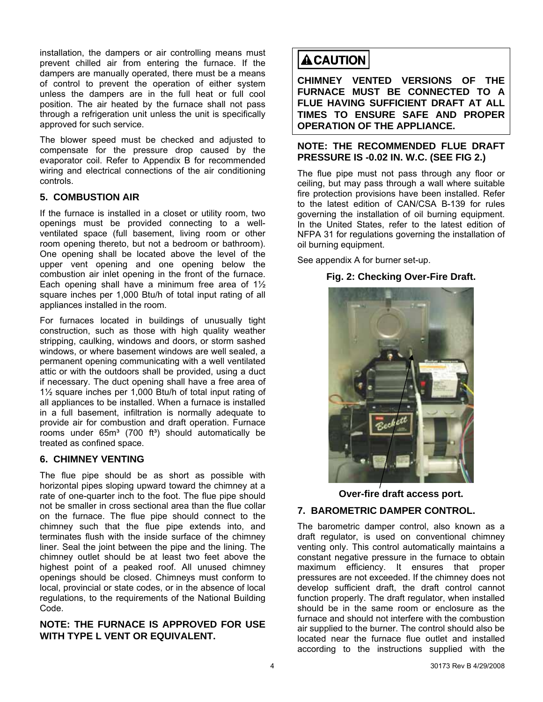<span id="page-3-0"></span>installation, the dampers or air controlling means must prevent chilled air from entering the furnace. If the dampers are manually operated, there must be a means of control to prevent the operation of either system unless the dampers are in the full heat or full cool position. The air heated by the furnace shall not pass through a refrigeration unit unless the unit is specifically approved for such service.

The blower speed must be checked and adjusted to compensate for the pressure drop caused by the evaporator coil. Refer to Appendix B for recommended wiring and electrical connections of the air conditioning controls.

#### **5. COMBUSTION AIR**

If the furnace is installed in a closet or utility room, two openings must be provided connecting to a wellventilated space (full basement, living room or other room opening thereto, but not a bedroom or bathroom). One opening shall be located above the level of the upper vent opening and one opening below the combustion air inlet opening in the front of the furnace. Each opening shall have a minimum free area of  $1\frac{1}{2}$ square inches per 1,000 Btu/h of total input rating of all appliances installed in the room.

For furnaces located in buildings of unusually tight construction, such as those with high quality weather stripping, caulking, windows and doors, or storm sashed windows, or where basement windows are well sealed, a permanent opening communicating with a well ventilated attic or with the outdoors shall be provided, using a duct if necessary. The duct opening shall have a free area of 1½ square inches per 1,000 Btu/h of total input rating of all appliances to be installed. When a furnace is installed in a full basement, infiltration is normally adequate to provide air for combustion and draft operation. Furnace rooms under  $65m<sup>3</sup>$  (700 ft<sup>3</sup>) should automatically be treated as confined space.

#### **6. CHIMNEY VENTING**

The flue pipe should be as short as possible with horizontal pipes sloping upward toward the chimney at a rate of one-quarter inch to the foot. The flue pipe should not be smaller in cross sectional area than the flue collar on the furnace. The flue pipe should connect to the chimney such that the flue pipe extends into, and terminates flush with the inside surface of the chimney liner. Seal the joint between the pipe and the lining. The chimney outlet should be at least two feet above the highest point of a peaked roof. All unused chimney openings should be closed. Chimneys must conform to local, provincial or state codes, or in the absence of local regulations, to the requirements of the National Building Code.

#### **NOTE: THE FURNACE IS APPROVED FOR USE WITH TYPE L VENT OR EQUIVALENT.**

## **ACAUTION**

**CHIMNEY VENTED VERSIONS OF THE FURNACE MUST BE CONNECTED TO A FLUE HAVING SUFFICIENT DRAFT AT ALL TIMES TO ENSURE SAFE AND PROPER OPERATION OF THE APPLIANCE.** 

#### **NOTE: THE RECOMMENDED FLUE DRAFT PRESSURE IS -0.02 IN. W.C. (SEE FIG 2.)**

The flue pipe must not pass through any floor or ceiling, but may pass through a wall where suitable fire protection provisions have been installed. Refer to the latest edition of CAN/CSA B-139 for rules governing the installation of oil burning equipment. In the United States, refer to the latest edition of NFPA 31 for regulations governing the installation of oil burning equipment.

See appendix A for burner set-up.

#### **Fig. 2: Checking Over-Fire Draft.**



**Over-fire draft access port.** 

#### **7. BAROMETRIC DAMPER CONTROL.**

The barometric damper control, also known as a draft regulator, is used on conventional chimney venting only. This control automatically maintains a constant negative pressure in the furnace to obtain maximum efficiency. It ensures that proper pressures are not exceeded. If the chimney does not develop sufficient draft, the draft control cannot function properly. The draft regulator, when installed should be in the same room or enclosure as the furnace and should not interfere with the combustion air supplied to the burner. The control should also be located near the furnace flue outlet and installed according to the instructions supplied with the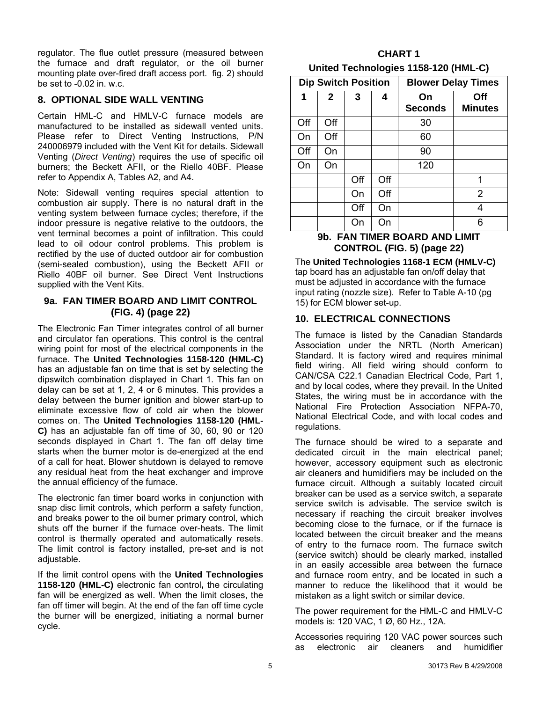<span id="page-4-0"></span>regulator. The flue outlet pressure (measured between the furnace and draft regulator, or the oil burner mounting plate over-fired draft access port. fig. 2) should be set to -0.02 in. w.c.

#### **8. OPTIONAL SIDE WALL VENTING**

Certain HML-C and HMLV-C furnace models are manufactured to be installed as sidewall vented units. Please refer to Direct Venting Instructions, P/N 240006979 included with the Vent Kit for details. Sidewall Venting (*Direct Venting*) requires the use of specific oil burners; the Beckett AFII, or the Riello 40BF. Please refer to Appendix A, Tables A2, and A4.

Note: Sidewall venting requires special attention to combustion air supply. There is no natural draft in the venting system between furnace cycles; therefore, if the indoor pressure is negative relative to the outdoors, the vent terminal becomes a point of infiltration. This could lead to oil odour control problems. This problem is rectified by the use of ducted outdoor air for combustion (semi-sealed combustion), using the Beckett AFII or Riello 40BF oil burner. See Direct Vent Instructions supplied with the Vent Kits.

#### **9a. FAN TIMER BOARD AND LIMIT CONTROL (FIG. 4) (page 22)**

The Electronic Fan Timer integrates control of all burner and circulator fan operations. This control is the central wiring point for most of the electrical components in the furnace. The **United Technologies 1158-120 (HML-C)** has an adjustable fan on time that is set by selecting the dipswitch combination displayed in Chart 1. This fan on delay can be set at 1, 2, 4 or 6 minutes. This provides a delay between the burner ignition and blower start-up to eliminate excessive flow of cold air when the blower comes on. The **United Technologies 1158-120 (HML-C)** has an adjustable fan off time of 30, 60, 90 or 120 seconds displayed in Chart 1. The fan off delay time starts when the burner motor is de-energized at the end of a call for heat. Blower shutdown is delayed to remove any residual heat from the heat exchanger and improve the annual efficiency of the furnace.

The electronic fan timer board works in conjunction with snap disc limit controls, which perform a safety function, and breaks power to the oil burner primary control, which shuts off the burner if the furnace over-heats. The limit control is thermally operated and automatically resets. The limit control is factory installed, pre-set and is not adjustable.

If the limit control opens with the **United Technologies 1158-120 (HML-C)** electronic fan control**,** the circulating fan will be energized as well. When the limit closes, the fan off timer will begin. At the end of the fan off time cycle the burner will be energized, initiating a normal burner cycle.

| <b>CHART 1</b>                       |  |
|--------------------------------------|--|
| United Technologies 1158-120 (HML-C) |  |

|     |              | <b>Dip Switch Position</b><br><b>Blower Delay Times</b> |     |                      |                       |
|-----|--------------|---------------------------------------------------------|-----|----------------------|-----------------------|
| 1   | $\mathbf{2}$ | 3                                                       | 4   | On<br><b>Seconds</b> | Off<br><b>Minutes</b> |
| Off | Off          |                                                         |     | 30                   |                       |
| On  | Off          |                                                         |     | 60                   |                       |
| Off | On           |                                                         |     | 90                   |                       |
| On  | On           |                                                         |     | 120                  |                       |
|     |              | Off                                                     | Off |                      | 1                     |
|     |              | On                                                      | Off |                      | $\overline{2}$        |
|     |              | Off                                                     | On  |                      | 4                     |
|     |              | On                                                      | On  |                      |                       |

#### **9b. FAN TIMER BOARD AND LIMIT CONTROL (FIG. 5) (page 22)**

The **United Technologies 1168-1 ECM (HMLV-C)**  tap board has an adjustable fan on/off delay that must be adjusted in accordance with the furnace input rating (nozzle size). Refer to Table A-10 (pg 15) for ECM blower set-up.

#### **10. ELECTRICAL CONNECTIONS**

The furnace is listed by the Canadian Standards Association under the NRTL (North American) Standard. It is factory wired and requires minimal field wiring. All field wiring should conform to CAN/CSA C22.1 Canadian Electrical Code, Part 1, and by local codes, where they prevail. In the United States, the wiring must be in accordance with the National Fire Protection Association NFPA-70, National Electrical Code, and with local codes and regulations.

The furnace should be wired to a separate and dedicated circuit in the main electrical panel; however, accessory equipment such as electronic air cleaners and humidifiers may be included on the furnace circuit. Although a suitably located circuit breaker can be used as a service switch, a separate service switch is advisable. The service switch is necessary if reaching the circuit breaker involves becoming close to the furnace, or if the furnace is located between the circuit breaker and the means of entry to the furnace room. The furnace switch (service switch) should be clearly marked, installed in an easily accessible area between the furnace and furnace room entry, and be located in such a manner to reduce the likelihood that it would be mistaken as a light switch or similar device.

The power requirement for the HML-C and HMLV-C models is: 120 VAC, 1 Ø, 60 Hz., 12A.

Accessories requiring 120 VAC power sources such as electronic air cleaners and humidifier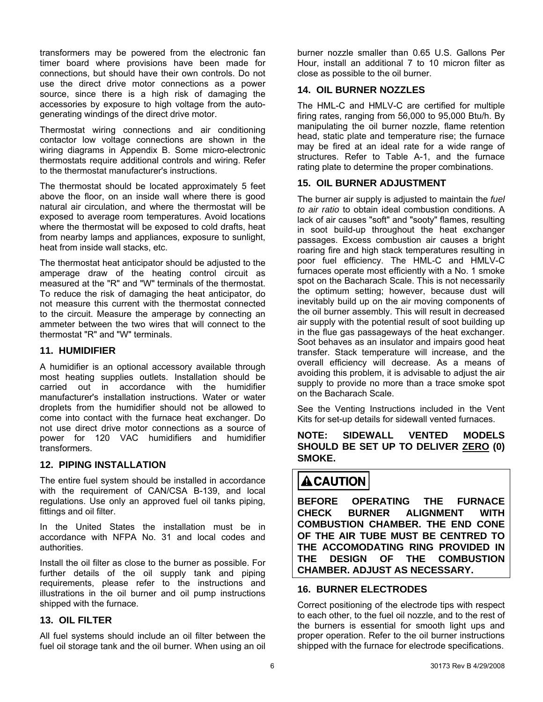<span id="page-5-0"></span>transformers may be powered from the electronic fan timer board where provisions have been made for connections, but should have their own controls. Do not use the direct drive motor connections as a power source, since there is a high risk of damaging the accessories by exposure to high voltage from the autogenerating windings of the direct drive motor.

Thermostat wiring connections and air conditioning contactor low voltage connections are shown in the wiring diagrams in Appendix B. Some micro-electronic thermostats require additional controls and wiring. Refer to the thermostat manufacturer's instructions.

The thermostat should be located approximately 5 feet above the floor, on an inside wall where there is good natural air circulation, and where the thermostat will be exposed to average room temperatures. Avoid locations where the thermostat will be exposed to cold drafts, heat from nearby lamps and appliances, exposure to sunlight, heat from inside wall stacks, etc.

The thermostat heat anticipator should be adjusted to the amperage draw of the heating control circuit as measured at the "R" and "W" terminals of the thermostat. To reduce the risk of damaging the heat anticipator, do not measure this current with the thermostat connected to the circuit. Measure the amperage by connecting an ammeter between the two wires that will connect to the thermostat "R" and "W" terminals.

#### **11. HUMIDIFIER**

A humidifier is an optional accessory available through most heating supplies outlets. Installation should be carried out in accordance with the humidifier manufacturer's installation instructions. Water or water droplets from the humidifier should not be allowed to come into contact with the furnace heat exchanger. Do not use direct drive motor connections as a source of power for 120 VAC humidifiers and humidifier transformers.

#### **12. PIPING INSTALLATION**

The entire fuel system should be installed in accordance with the requirement of CAN/CSA B-139, and local regulations. Use only an approved fuel oil tanks piping, fittings and oil filter.

In the United States the installation must be in accordance with NFPA No. 31 and local codes and authorities.

Install the oil filter as close to the burner as possible. For further details of the oil supply tank and piping requirements, please refer to the instructions and illustrations in the oil burner and oil pump instructions shipped with the furnace.

#### **13. OIL FILTER**

All fuel systems should include an oil filter between the fuel oil storage tank and the oil burner. When using an oil burner nozzle smaller than 0.65 U.S. Gallons Per Hour, install an additional 7 to 10 micron filter as close as possible to the oil burner.

#### **14. OIL BURNER NOZZLES**

The HML-C and HMLV-C are certified for multiple firing rates, ranging from 56,000 to 95,000 Btu/h. By manipulating the oil burner nozzle, flame retention head, static plate and temperature rise; the furnace may be fired at an ideal rate for a wide range of structures. Refer to Table A-1, and the furnace rating plate to determine the proper combinations.

#### **15. OIL BURNER ADJUSTMENT**

The burner air supply is adjusted to maintain the *fuel to air ratio* to obtain ideal combustion conditions. A lack of air causes "soft" and "sooty" flames, resulting in soot build-up throughout the heat exchanger passages. Excess combustion air causes a bright roaring fire and high stack temperatures resulting in poor fuel efficiency. The HML-C and HMLV-C furnaces operate most efficiently with a No. 1 smoke spot on the Bacharach Scale. This is not necessarily the optimum setting; however, because dust will inevitably build up on the air moving components of the oil burner assembly. This will result in decreased air supply with the potential result of soot building up in the flue gas passageways of the heat exchanger. Soot behaves as an insulator and impairs good heat transfer. Stack temperature will increase, and the overall efficiency will decrease. As a means of avoiding this problem, it is advisable to adjust the air supply to provide no more than a trace smoke spot on the Bacharach Scale.

See the Venting Instructions included in the Vent Kits for set-up details for sidewall vented furnaces.

#### **NOTE: SIDEWALL VENTED MODELS SHOULD BE SET UP TO DELIVER ZERO (0) SMOKE.**

## **ACAUTION**

**BEFORE OPERATING THE FURNACE CHECK BURNER ALIGNMENT WITH COMBUSTION CHAMBER. THE END CONE OF THE AIR TUBE MUST BE CENTRED TO THE ACCOMODATING RING PROVIDED IN THE DESIGN OF THE COMBUSTION CHAMBER. ADJUST AS NECESSARY.** 

#### **16. BURNER ELECTRODES**

Correct positioning of the electrode tips with respect to each other, to the fuel oil nozzle, and to the rest of the burners is essential for smooth light ups and proper operation. Refer to the oil burner instructions shipped with the furnace for electrode specifications.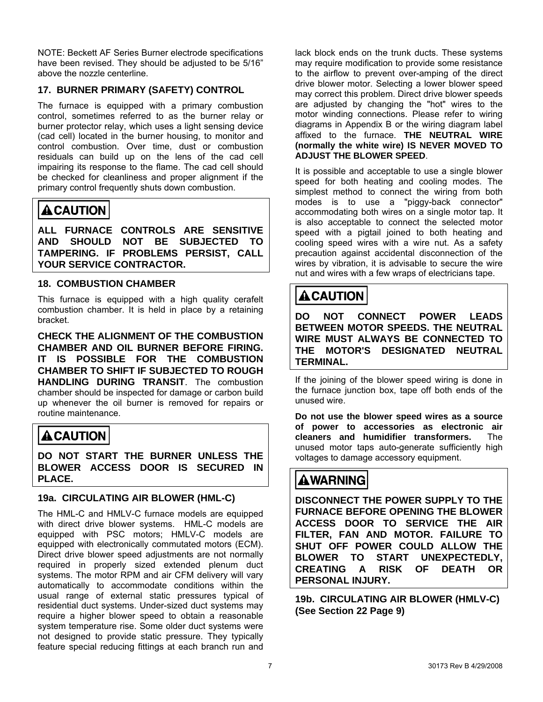<span id="page-6-0"></span>NOTE: Beckett AF Series Burner electrode specifications have been revised. They should be adjusted to be 5/16" above the nozzle centerline.

#### **17. BURNER PRIMARY (SAFETY) CONTROL**

The furnace is equipped with a primary combustion control, sometimes referred to as the burner relay or burner protector relay, which uses a light sensing device (cad cell) located in the burner housing, to monitor and control combustion. Over time, dust or combustion residuals can build up on the lens of the cad cell impairing its response to the flame. The cad cell should be checked for cleanliness and proper alignment if the primary control frequently shuts down combustion.

## **ACAUTION**

**ALL FURNACE CONTROLS ARE SENSITIVE AND SHOULD NOT BE SUBJECTED TO TAMPERING. IF PROBLEMS PERSIST, CALL YOUR SERVICE CONTRACTOR.** 

#### **18. COMBUSTION CHAMBER**

This furnace is equipped with a high quality cerafelt combustion chamber. It is held in place by a retaining bracket.

**CHECK THE ALIGNMENT OF THE COMBUSTION CHAMBER AND OIL BURNER BEFORE FIRING. IT IS POSSIBLE FOR THE COMBUSTION CHAMBER TO SHIFT IF SUBJECTED TO ROUGH HANDLING DURING TRANSIT**. The combustion chamber should be inspected for damage or carbon build up whenever the oil burner is removed for repairs or routine maintenance.

## **ACAUTION**

**DO NOT START THE BURNER UNLESS THE BLOWER ACCESS DOOR IS SECURED IN PLACE.** 

#### **19a. CIRCULATING AIR BLOWER (HML-C)**

The HML-C and HMLV-C furnace models are equipped with direct drive blower systems. HML-C models are equipped with PSC motors; HMLV-C models are equipped with electronically commutated motors (ECM). Direct drive blower speed adjustments are not normally required in properly sized extended plenum duct systems. The motor RPM and air CFM delivery will vary automatically to accommodate conditions within the usual range of external static pressures typical of residential duct systems. Under-sized duct systems may require a higher blower speed to obtain a reasonable system temperature rise. Some older duct systems were not designed to provide static pressure. They typically feature special reducing fittings at each branch run and

lack block ends on the trunk ducts. These systems may require modification to provide some resistance to the airflow to prevent over-amping of the direct drive blower motor. Selecting a lower blower speed may correct this problem. Direct drive blower speeds are adjusted by changing the "hot" wires to the motor winding connections. Please refer to wiring diagrams in Appendix B or the wiring diagram label affixed to the furnace. **THE NEUTRAL WIRE (normally the white wire) IS NEVER MOVED TO ADJUST THE BLOWER SPEED**.

It is possible and acceptable to use a single blower speed for both heating and cooling modes. The simplest method to connect the wiring from both modes is to use a "piggy-back connector" accommodating both wires on a single motor tap. It is also acceptable to connect the selected motor speed with a pigtail joined to both heating and cooling speed wires with a wire nut. As a safety precaution against accidental disconnection of the wires by vibration, it is advisable to secure the wire nut and wires with a few wraps of electricians tape.

## **ACAUTION**

**DO NOT CONNECT POWER LEADS BETWEEN MOTOR SPEEDS. THE NEUTRAL WIRE MUST ALWAYS BE CONNECTED TO THE MOTOR'S DESIGNATED NEUTRAL TERMINAL.** 

If the joining of the blower speed wiring is done in the furnace junction box, tape off both ends of the unused wire.

**Do not use the blower speed wires as a source of power to accessories as electronic air cleaners and humidifier transformers.** The unused motor taps auto-generate sufficiently high voltages to damage accessory equipment.

## **AWARNING**

**DISCONNECT THE POWER SUPPLY TO THE FURNACE BEFORE OPENING THE BLOWER ACCESS DOOR TO SERVICE THE AIR FILTER, FAN AND MOTOR. FAILURE TO SHUT OFF POWER COULD ALLOW THE BLOWER TO START UNEXPECTEDLY, CREATING A RISK OF DEATH OR PERSONAL INJURY.** 

**19b. CIRCULATING AIR BLOWER (HMLV-C) (See Section 22 Page 9)**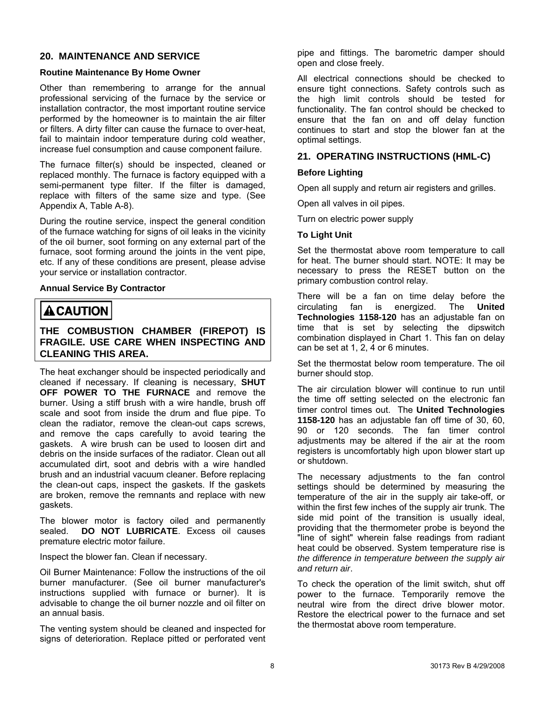#### <span id="page-7-0"></span>**20. MAINTENANCE AND SERVICE**

#### **Routine Maintenance By Home Owner**

Other than remembering to arrange for the annual professional servicing of the furnace by the service or installation contractor, the most important routine service performed by the homeowner is to maintain the air filter or filters. A dirty filter can cause the furnace to over-heat, fail to maintain indoor temperature during cold weather, increase fuel consumption and cause component failure.

The furnace filter(s) should be inspected, cleaned or replaced monthly. The furnace is factory equipped with a semi-permanent type filter. If the filter is damaged, replace with filters of the same size and type. (See Appendix A, Table A-8).

During the routine service, inspect the general condition of the furnace watching for signs of oil leaks in the vicinity of the oil burner, soot forming on any external part of the furnace, soot forming around the joints in the vent pipe, etc. If any of these conditions are present, please advise your service or installation contractor.

#### **Annual Service By Contractor**

### $\bigtriangleup$  CAUTION

#### **THE COMBUSTION CHAMBER (FIREPOT) IS FRAGILE. USE CARE WHEN INSPECTING AND CLEANING THIS AREA.**

The heat exchanger should be inspected periodically and cleaned if necessary. If cleaning is necessary, **SHUT OFF POWER TO THE FURNACE** and remove the burner. Using a stiff brush with a wire handle, brush off scale and soot from inside the drum and flue pipe. To clean the radiator, remove the clean-out caps screws, and remove the caps carefully to avoid tearing the gaskets. A wire brush can be used to loosen dirt and debris on the inside surfaces of the radiator. Clean out all accumulated dirt, soot and debris with a wire handled brush and an industrial vacuum cleaner. Before replacing the clean-out caps, inspect the gaskets. If the gaskets are broken, remove the remnants and replace with new gaskets.

The blower motor is factory oiled and permanently sealed. **DO NOT LUBRICATE**. Excess oil causes premature electric motor failure.

Inspect the blower fan. Clean if necessary.

Oil Burner Maintenance: Follow the instructions of the oil burner manufacturer. (See oil burner manufacturer's instructions supplied with furnace or burner). It is advisable to change the oil burner nozzle and oil filter on an annual basis.

The venting system should be cleaned and inspected for signs of deterioration. Replace pitted or perforated vent pipe and fittings. The barometric damper should open and close freely.

All electrical connections should be checked to ensure tight connections. Safety controls such as the high limit controls should be tested for functionality. The fan control should be checked to ensure that the fan on and off delay function continues to start and stop the blower fan at the optimal settings.

#### **21. OPERATING INSTRUCTIONS (HML-C)**

#### **Before Lighting**

Open all supply and return air registers and grilles.

Open all valves in oil pipes.

Turn on electric power supply

#### **To Light Unit**

Set the thermostat above room temperature to call for heat. The burner should start. NOTE: It may be necessary to press the RESET button on the primary combustion control relay.

There will be a fan on time delay before the circulating fan is energized. The **United Technologies 1158-120** has an adjustable fan on time that is set by selecting the dipswitch combination displayed in Chart 1. This fan on delay can be set at 1, 2, 4 or 6 minutes.

Set the thermostat below room temperature. The oil burner should stop.

The air circulation blower will continue to run until the time off setting selected on the electronic fan timer control times out. The **United Technologies 1158-120** has an adjustable fan off time of 30, 60, 90 or 120 seconds. The fan timer control adjustments may be altered if the air at the room registers is uncomfortably high upon blower start up or shutdown.

The necessary adjustments to the fan control settings should be determined by measuring the temperature of the air in the supply air take-off, or within the first few inches of the supply air trunk. The side mid point of the transition is usually ideal, providing that the thermometer probe is beyond the "line of sight" wherein false readings from radiant heat could be observed. System temperature rise is *the difference in temperature between the supply air and return air*.

To check the operation of the limit switch, shut off power to the furnace. Temporarily remove the neutral wire from the direct drive blower motor. Restore the electrical power to the furnace and set the thermostat above room temperature.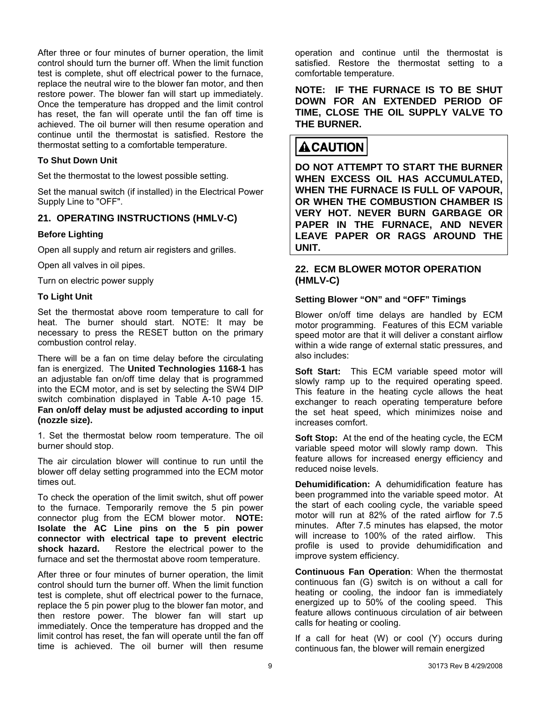After three or four minutes of burner operation, the limit control should turn the burner off. When the limit function test is complete, shut off electrical power to the furnace, replace the neutral wire to the blower fan motor, and then restore power. The blower fan will start up immediately. Once the temperature has dropped and the limit control has reset, the fan will operate until the fan off time is achieved. The oil burner will then resume operation and continue until the thermostat is satisfied. Restore the thermostat setting to a comfortable temperature.

#### **To Shut Down Unit**

Set the thermostat to the lowest possible setting.

Set the manual switch (if installed) in the Electrical Power Supply Line to "OFF".

#### **21. OPERATING INSTRUCTIONS (HMLV-C)**

#### **Before Lighting**

Open all supply and return air registers and grilles.

Open all valves in oil pipes.

Turn on electric power supply

#### **To Light Unit**

Set the thermostat above room temperature to call for heat. The burner should start. NOTE: It may be necessary to press the RESET button on the primary combustion control relay.

There will be a fan on time delay before the circulating fan is energized. The **United Technologies 1168-1** has an adjustable fan on/off time delay that is programmed into the ECM motor, and is set by selecting the SW4 DIP switch combination displayed in Table A-10 page 15. **Fan on/off delay must be adjusted according to input (nozzle size).**

1. Set the thermostat below room temperature. The oil burner should stop.

The air circulation blower will continue to run until the blower off delay setting programmed into the ECM motor times out.

To check the operation of the limit switch, shut off power to the furnace. Temporarily remove the 5 pin power connector plug from the ECM blower motor. **NOTE: Isolate the AC Line pins on the 5 pin power connector with electrical tape to prevent electric shock hazard.** Restore the electrical power to the furnace and set the thermostat above room temperature.

After three or four minutes of burner operation, the limit control should turn the burner off. When the limit function test is complete, shut off electrical power to the furnace, replace the 5 pin power plug to the blower fan motor, and then restore power. The blower fan will start up immediately. Once the temperature has dropped and the limit control has reset, the fan will operate until the fan off time is achieved. The oil burner will then resume

operation and continue until the thermostat is satisfied. Restore the thermostat setting to a comfortable temperature.

**NOTE: IF THE FURNACE IS TO BE SHUT DOWN FOR AN EXTENDED PERIOD OF TIME, CLOSE THE OIL SUPPLY VALVE TO THE BURNER.** 

## **ACAUTION**

**DO NOT ATTEMPT TO START THE BURNER WHEN EXCESS OIL HAS ACCUMULATED, WHEN THE FURNACE IS FULL OF VAPOUR, OR WHEN THE COMBUSTION CHAMBER IS VERY HOT. NEVER BURN GARBAGE OR PAPER IN THE FURNACE, AND NEVER LEAVE PAPER OR RAGS AROUND THE UNIT.** 

#### **22. ECM BLOWER MOTOR OPERATION (HMLV-C)**

#### **Setting Blower "ON" and "OFF" Timings**

Blower on/off time delays are handled by ECM motor programming. Features of this ECM variable speed motor are that it will deliver a constant airflow within a wide range of external static pressures, and also includes:

**Soft Start:** This ECM variable speed motor will slowly ramp up to the required operating speed. This feature in the heating cycle allows the heat exchanger to reach operating temperature before the set heat speed, which minimizes noise and increases comfort.

**Soft Stop:** At the end of the heating cycle, the ECM variable speed motor will slowly ramp down. This feature allows for increased energy efficiency and reduced noise levels.

**Dehumidification:** A dehumidification feature has been programmed into the variable speed motor. At the start of each cooling cycle, the variable speed motor will run at 82% of the rated airflow for 7.5 minutes. After 7.5 minutes has elapsed, the motor will increase to 100% of the rated airflow. This profile is used to provide dehumidification and improve system efficiency.

**Continuous Fan Operation**: When the thermostat continuous fan (G) switch is on without a call for heating or cooling, the indoor fan is immediately energized up to 50% of the cooling speed. This feature allows continuous circulation of air between calls for heating or cooling.

If a call for heat (W) or cool (Y) occurs during continuous fan, the blower will remain energized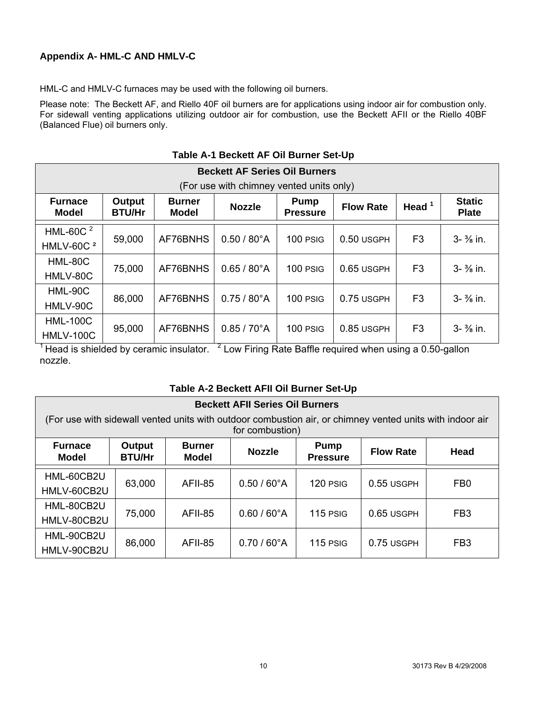#### <span id="page-9-0"></span>**Appendix A- HML-C AND HMLV-C**

HML-C and HMLV-C furnaces may be used with the following oil burners.

Please note: The Beckett AF, and Riello 40F oil burners are for applications using indoor air for combustion only. For sidewall venting applications utilizing outdoor air for combustion, use the Beckett AFII or the Riello 40BF (Balanced Flue) oil burners only.

| <b>Beckett AF Series Oil Burners</b> |                                          |                               |                       |                                |                  |                |                               |  |  |  |  |
|--------------------------------------|------------------------------------------|-------------------------------|-----------------------|--------------------------------|------------------|----------------|-------------------------------|--|--|--|--|
|                                      | (For use with chimney vented units only) |                               |                       |                                |                  |                |                               |  |  |  |  |
| <b>Furnace</b><br><b>Model</b>       | Output<br><b>BTU/Hr</b>                  | <b>Burner</b><br><b>Model</b> | <b>Nozzle</b>         | <b>Pump</b><br><b>Pressure</b> | <b>Flow Rate</b> | Head $1$       | <b>Static</b><br><b>Plate</b> |  |  |  |  |
| HML-60C $2$                          | 59,000                                   | AF76BNHS                      | $0.50 / 80^{\circ}$ A | 100 PSIG                       | 0.50 USGPH       | F <sub>3</sub> | $3 - \frac{3}{8}$ in.         |  |  |  |  |
| HMLV-60C <sup>2</sup>                |                                          |                               |                       |                                |                  |                |                               |  |  |  |  |
| HML-80C                              | 75,000                                   | AF76BNHS                      | $0.65 / 80^{\circ}$ A | 100 PSIG                       | 0.65 USGPH       | F <sub>3</sub> | $3 - \frac{3}{8}$ in.         |  |  |  |  |
| HMLV-80C                             |                                          |                               |                       |                                |                  |                |                               |  |  |  |  |
| HML-90C                              | 86,000                                   | AF76BNHS                      | $0.75/80^{\circ}$ A   | 100 PSIG                       | 0.75 USGPH       | F <sub>3</sub> | $3 - \frac{3}{8}$ in.         |  |  |  |  |
| HMLV-90C                             |                                          |                               |                       |                                |                  |                |                               |  |  |  |  |
| <b>HML-100C</b>                      | 95,000                                   | AF76BNHS                      | $0.85 / 70^{\circ}$ A | 100 PSIG                       | 0.85 USGPH       | F <sub>3</sub> | $3 - \frac{3}{8}$ in.         |  |  |  |  |
| <b>HMLV-100C</b>                     |                                          |                               |                       |                                |                  |                |                               |  |  |  |  |

#### **Table A-1 Beckett AF Oil Burner Set-Up**

<sup>1</sup> Head is shielded by ceramic insulator.  $2^2$  Low Firing Rate Baffle required when using a 0.50-gallon nozzle.

#### **Table A-2 Beckett AFII Oil Burner Set-Up**

| <b>Beckett AFII Series Oil Burners</b>                                                                                                                                    |        |         |                       |          |            |                 |  |  |  |  |
|---------------------------------------------------------------------------------------------------------------------------------------------------------------------------|--------|---------|-----------------------|----------|------------|-----------------|--|--|--|--|
| (For use with sidewall vented units with outdoor combustion air, or chimney vented units with indoor air<br>for combustion)                                               |        |         |                       |          |            |                 |  |  |  |  |
| <b>Furnace</b><br><b>Burner</b><br><b>Pump</b><br>Output<br>Head<br><b>Nozzle</b><br><b>Flow Rate</b><br><b>BTU/Hr</b><br><b>Model</b><br><b>Model</b><br><b>Pressure</b> |        |         |                       |          |            |                 |  |  |  |  |
| HML-60CB2U<br>HMLV-60CB2U                                                                                                                                                 | 63,000 | AFII-85 | $0.50 / 60^{\circ}$ A | 120 PSIG | 0.55 USGPH | FB <sub>0</sub> |  |  |  |  |
| HML-80CB2U<br>HMLV-80CB2U                                                                                                                                                 | 75,000 | AFII-85 | $0.60 / 60^{\circ}$ A | 115 PSIG | 0.65 USGPH | FB <sub>3</sub> |  |  |  |  |
| HML-90CB2U<br>HMLV-90CB2U                                                                                                                                                 | 86,000 | AFII-85 | $0.70/60^{\circ}$ A   | 115 PSIG | 0.75 USGPH | FB <sub>3</sub> |  |  |  |  |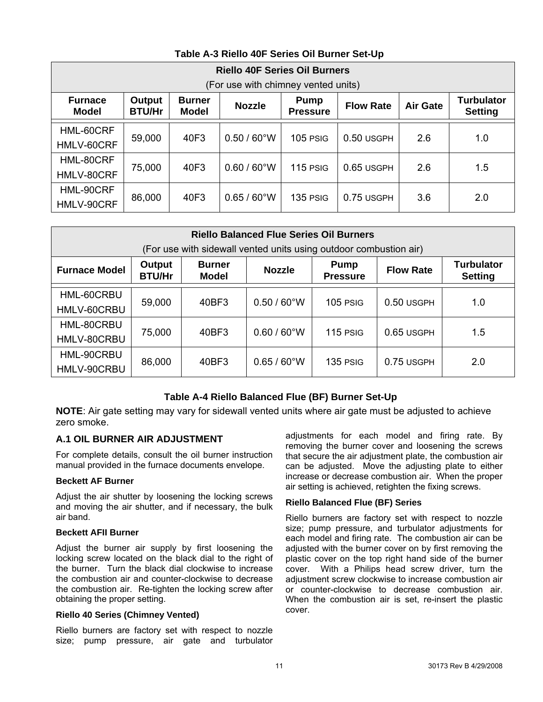#### **Table A-3 Riello 40F Series Oil Burner Set-Up**

<span id="page-10-0"></span>

| <b>Riello 40F Series Oil Burners</b> |                                     |                                                                                  |                       |            |                  |                 |                                     |  |  |  |  |  |
|--------------------------------------|-------------------------------------|----------------------------------------------------------------------------------|-----------------------|------------|------------------|-----------------|-------------------------------------|--|--|--|--|--|
|                                      | (For use with chimney vented units) |                                                                                  |                       |            |                  |                 |                                     |  |  |  |  |  |
| <b>Furnace</b><br><b>Model</b>       | Output<br><b>BTU/Hr</b>             | <b>Burner</b><br><b>Pump</b><br><b>Nozzle</b><br><b>Model</b><br><b>Pressure</b> |                       |            | <b>Flow Rate</b> | <b>Air Gate</b> | <b>Turbulator</b><br><b>Setting</b> |  |  |  |  |  |
| HML-60CRF<br>HMLV-60CRF              | 59,000                              | 40F3                                                                             | $0.50 / 60^{\circ}$ W | $105$ PSIG | 0.50 USGPH       | 2.6             | 1.0                                 |  |  |  |  |  |
| HML-80CRF<br>HMLV-80CRF              | 75,000                              | 40F3                                                                             | $0.60 / 60^{\circ}$ W | 115 PSIG   | $0.65$ USGPH     | 2.6             | 1.5                                 |  |  |  |  |  |
| HML-90CRF<br>HMLV-90CRF              | 86,000                              | 40F3                                                                             | $0.65 / 60^{\circ}$ W | 135 PSIG   | 0.75 USGPH       | 3.6             | 2.0                                 |  |  |  |  |  |

| <b>Riello Balanced Flue Series Oil Burners</b><br>(For use with sidewall vented units using outdoor combustion air) |        |                               |                       |                                |              |                                     |  |  |  |  |
|---------------------------------------------------------------------------------------------------------------------|--------|-------------------------------|-----------------------|--------------------------------|--------------|-------------------------------------|--|--|--|--|
| Output<br><b>Furnace Model</b><br><b>BTU/Hr</b>                                                                     |        | <b>Burner</b><br><b>Model</b> | <b>Nozzle</b>         | <b>Pump</b><br><b>Pressure</b> |              | <b>Turbulator</b><br><b>Setting</b> |  |  |  |  |
| HML-60CRBU<br>HMLV-60CRBU                                                                                           | 59,000 | 40BF3                         | $0.50 / 60^{\circ}$ W | $105$ PSIG                     | $0.50$ USGPH | 1.0                                 |  |  |  |  |
| HML-80CRBU<br>HMLV-80CRBU                                                                                           | 75,000 | 40BF3                         | $0.60 / 60^{\circ}$ W | 115 PSIG                       | 0.65 USGPH   | 1.5                                 |  |  |  |  |
| HML-90CRBU<br>HMLV-90CRBU                                                                                           | 86,000 | 40BF3                         | $0.65/60^{\circ}$ W   | 135 PSIG                       | 0.75 USGPH   | 2.0                                 |  |  |  |  |

#### **Table A-4 Riello Balanced Flue (BF) Burner Set-Up**

**NOTE**: Air gate setting may vary for sidewall vented units where air gate must be adjusted to achieve zero smoke.

#### **A.1 OIL BURNER AIR ADJUSTMENT**

For complete details, consult the oil burner instruction manual provided in the furnace documents envelope.

#### **Beckett AF Burner**

Adjust the air shutter by loosening the locking screws and moving the air shutter, and if necessary, the bulk air band.

#### **Beckett AFII Burner**

Adjust the burner air supply by first loosening the locking screw located on the black dial to the right of the burner. Turn the black dial clockwise to increase the combustion air and counter-clockwise to decrease the combustion air. Re-tighten the locking screw after obtaining the proper setting.

#### **Riello 40 Series (Chimney Vented)**

Riello burners are factory set with respect to nozzle size; pump pressure, air gate and turbulator

adjustments for each model and firing rate. By removing the burner cover and loosening the screws that secure the air adjustment plate, the combustion air can be adjusted. Move the adjusting plate to either increase or decrease combustion air. When the proper air setting is achieved, retighten the fixing screws.

#### **Riello Balanced Flue (BF) Series**

Riello burners are factory set with respect to nozzle size; pump pressure, and turbulator adjustments for each model and firing rate. The combustion air can be adjusted with the burner cover on by first removing the plastic cover on the top right hand side of the burner cover. With a Philips head screw driver, turn the adjustment screw clockwise to increase combustion air or counter-clockwise to decrease combustion air. When the combustion air is set, re-insert the plastic cover.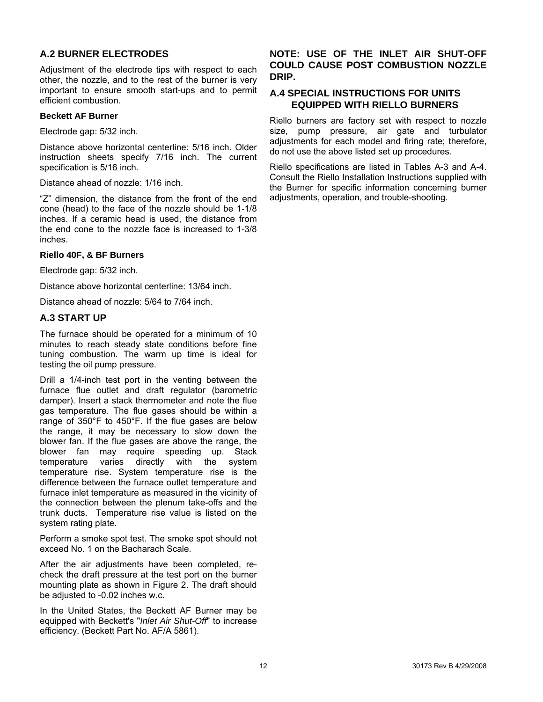#### <span id="page-11-0"></span>**A.2 BURNER ELECTRODES**

Adjustment of the electrode tips with respect to each other, the nozzle, and to the rest of the burner is very important to ensure smooth start-ups and to permit efficient combustion.

#### **Beckett AF Burner**

Electrode gap: 5/32 inch.

Distance above horizontal centerline: 5/16 inch. Older instruction sheets specify 7/16 inch. The current specification is 5/16 inch.

Distance ahead of nozzle: 1/16 inch.

"Z" dimension, the distance from the front of the end cone (head) to the face of the nozzle should be 1-1/8 inches. If a ceramic head is used, the distance from the end cone to the nozzle face is increased to 1-3/8 inches.

#### **Riello 40F, & BF Burners**

Electrode gap: 5/32 inch.

Distance above horizontal centerline: 13/64 inch.

Distance ahead of nozzle: 5/64 to 7/64 inch.

#### **A.3 START UP**

The furnace should be operated for a minimum of 10 minutes to reach steady state conditions before fine tuning combustion. The warm up time is ideal for testing the oil pump pressure.

Drill a 1/4-inch test port in the venting between the furnace flue outlet and draft regulator (barometric damper). Insert a stack thermometer and note the flue gas temperature. The flue gases should be within a range of 350°F to 450°F. If the flue gases are below the range, it may be necessary to slow down the blower fan. If the flue gases are above the range, the blower fan may require speeding up. Stack temperature varies directly with the system temperature rise. System temperature rise is the difference between the furnace outlet temperature and furnace inlet temperature as measured in the vicinity of the connection between the plenum take-offs and the trunk ducts. Temperature rise value is listed on the system rating plate.

Perform a smoke spot test. The smoke spot should not exceed No. 1 on the Bacharach Scale.

After the air adjustments have been completed, recheck the draft pressure at the test port on the burner mounting plate as shown in Figure 2. The draft should be adjusted to -0.02 inches w.c.

In the United States, the Beckett AF Burner may be equipped with Beckett's "*Inlet Air Shut-Off*" to increase efficiency. (Beckett Part No. AF/A 5861).

#### **NOTE: USE OF THE INLET AIR SHUT-OFF COULD CAUSE POST COMBUSTION NOZZLE DRIP.**

#### **A.4 SPECIAL INSTRUCTIONS FOR UNITS EQUIPPED WITH RIELLO BURNERS**

Riello burners are factory set with respect to nozzle size, pump pressure, air gate and turbulator adjustments for each model and firing rate; therefore, do not use the above listed set up procedures.

Riello specifications are listed in Tables A-3 and A-4. Consult the Riello Installation Instructions supplied with the Burner for specific information concerning burner adjustments, operation, and trouble-shooting.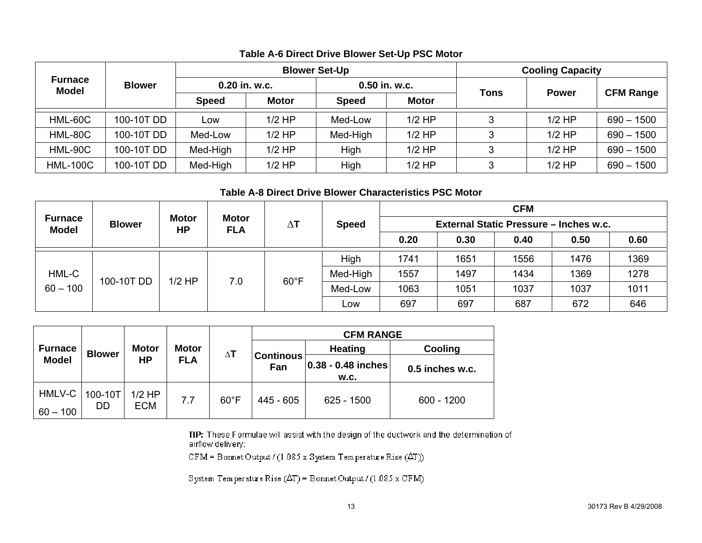|                                |               |               |              | <b>Blower Set-Up</b> | <b>Cooling Capacity</b> |      |              |                  |
|--------------------------------|---------------|---------------|--------------|----------------------|-------------------------|------|--------------|------------------|
| <b>Furnace</b><br><b>Model</b> | <b>Blower</b> | 0.20 in. w.c. |              | 0.50 in. w.c.        |                         |      |              |                  |
|                                |               | <b>Speed</b>  | <b>Motor</b> | <b>Speed</b>         | <b>Motor</b>            | Tons | <b>Power</b> | <b>CFM Range</b> |
| HML-60C                        | 100-10T DD    | Low           | $1/2$ HP     | Med-Low              | $1/2$ HP                | 3    | $1/2$ HP     | $690 - 1500$     |
| HML-80C                        | 100-10T DD    | Med-Low       | $1/2$ HP     | Med-High             | $1/2$ HP                | 3    | $1/2$ HP     | $690 - 1500$     |
| HML-90C                        | 100-10T DD    | Med-High      | $1/2$ HP     | High                 | $1/2$ HP                | 3    | $1/2$ HP     | $690 - 1500$     |
| <b>HML-100C</b>                | 100-10T DD    | Med-High      | $1/2$ HP     | High                 | $1/2$ HP                | 3    | $1/2$ HP     | $690 - 1500$     |

#### **Table A-6 Direct Drive Blower Set-Up PSC Motor**

#### **Table A-8 Direct Drive Blower Characteristics PSC Motor**

|                                                 |                           |     |                |         | $\Delta$ T |      |                              |      | <b>CFM</b> |                                        |  |  |
|-------------------------------------------------|---------------------------|-----|----------------|---------|------------|------|------------------------------|------|------------|----------------------------------------|--|--|
| <b>Furnace</b><br><b>Blower</b><br><b>Model</b> | <b>Motor</b><br><b>HP</b> |     | <b>FLA</b>     |         |            |      | <b>Motor</b><br><b>Speed</b> |      |            | External Static Pressure - Inches w.c. |  |  |
|                                                 |                           |     |                |         |            | 0.20 | 0.30                         | 0.40 | 0.50       | 0.60                                   |  |  |
|                                                 |                           |     |                |         | High       | 1741 | 1651                         | 1556 | 1476       | 1369                                   |  |  |
| HML-C                                           |                           |     |                |         | Med-High   | 1557 | 1497                         | 1434 | 1369       | 1278                                   |  |  |
| 100-10T DD<br>$60 - 100$                        | $1/2$ HP                  | 7.0 | $60^{\circ}$ F | Med-Low | 1063       | 1051 | 1037                         | 1037 | 1011       |                                        |  |  |
|                                                 |                           |     |                |         | Low        | 697  | 697                          | 687  | 672        | 646                                    |  |  |

|                      |                |                              |     |                |                                                     | <b>CFM RANGE</b>               |                 |         |  |
|----------------------|----------------|------------------------------|-----|----------------|-----------------------------------------------------|--------------------------------|-----------------|---------|--|
| <b>Furnace</b>       | <b>Blower</b>  | <b>Motor</b><br><b>Motor</b> |     |                | $\Delta$ T<br><b>Continous</b><br><b>FLA</b><br>Fan |                                | <b>Heating</b>  | Cooling |  |
| <b>Model</b>         |                | <b>HP</b>                    |     |                |                                                     | $ 0.38 - 0.48 $ inches<br>W.C. | 0.5 inches w.c. |         |  |
| HMLV-C<br>$60 - 100$ | 100-10T<br>DD. | $1/2$ HP<br><b>ECM</b>       | 7.7 | $60^{\circ}$ F | 445 - 605                                           | 625 - 1500                     | $600 - 1200$    |         |  |

TIP: These Formulae will assist with the design of the ductwork and the determination of airflow delivery:

CFM = Bornet Output / (1.085 x System Temperature Rise  $(\Delta T)$ )

System Temperature Rise  $(\Delta T)$  = Bonnet Output / (1.085 x CFM)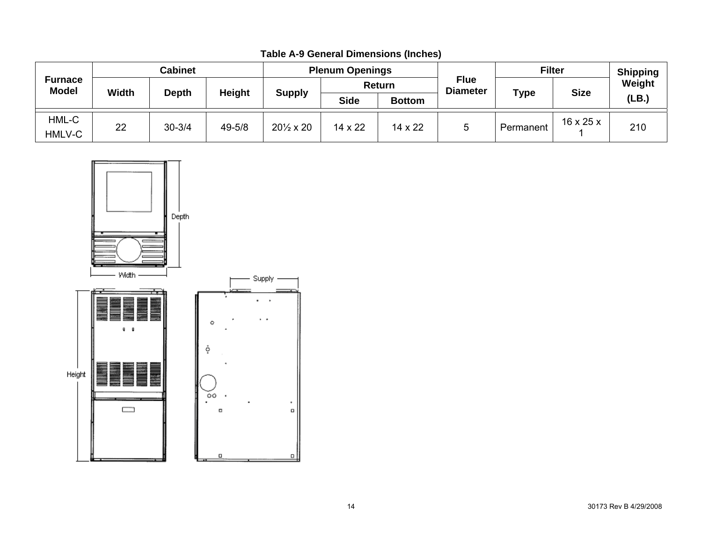| Cabinet         |                                                                |            | <b>Plenum Openings</b> |                           |                                | <b>Filter</b>  |             | <b>Shipping</b> |                       |       |
|-----------------|----------------------------------------------------------------|------------|------------------------|---------------------------|--------------------------------|----------------|-------------|-----------------|-----------------------|-------|
|                 | <b>Furnace</b><br><b>Model</b><br><b>Width</b><br><b>Depth</b> |            | Return                 |                           | <b>Flue</b><br><b>Diameter</b> |                | <b>Size</b> | Weight          |                       |       |
|                 |                                                                |            | <b>Height</b>          | <b>Supply</b>             | <b>Side</b>                    | <b>Bottom</b>  |             | <b>Type</b>     |                       | (LB.) |
| HML-C<br>HMLV-C | 22                                                             | $30 - 3/4$ | 49-5/8                 | $20\frac{1}{2} \times 20$ | 14 x 22                        | $14 \times 22$ |             | Permanent       | $16 \times 25 \times$ | 210   |

**Table A-9 General Dimensions (Inches)**

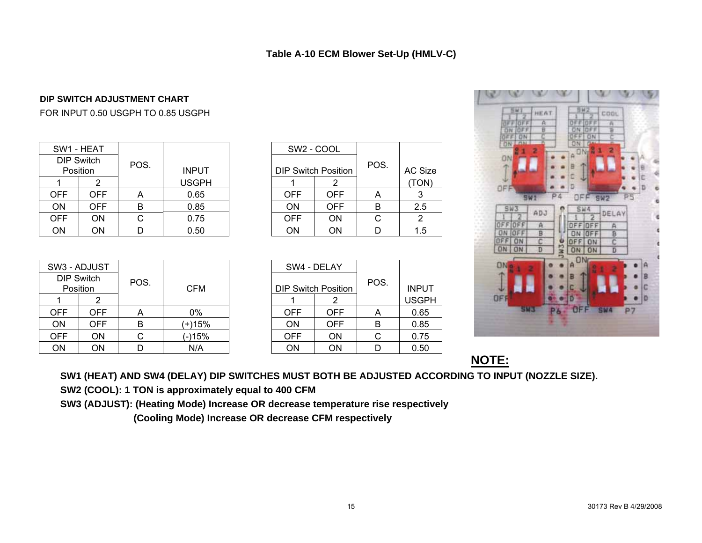#### **DIP SWITCH ADJUSTMENT CHART**

FOR INPUT 0.50 USGPH TO 0.85 USGPH

|            | SW1 - HEAT                    |      |              |            | SW <sub>2</sub> - COOL     |      |            |
|------------|-------------------------------|------|--------------|------------|----------------------------|------|------------|
|            | <b>DIP Switch</b><br>Position | POS. | <b>INPUT</b> |            | <b>DIP Switch Position</b> | POS. | AC Siz     |
|            |                               |      | <b>USGPH</b> |            |                            |      | <b>TON</b> |
| <b>OFF</b> | <b>OFF</b>                    | A    | 0.65         | <b>OFF</b> | <b>OFF</b>                 |      | 3          |
| <b>ON</b>  | <b>OFF</b>                    | B    | 0.85         | <b>ON</b>  | <b>OFF</b>                 | в    | 2.5        |
| <b>OFF</b> | ON                            |      | 0.75         | <b>OFF</b> | <b>ON</b>                  |      | 2          |
| ON         | ON                            |      | 0.50         | <b>ON</b>  | <b>ON</b>                  |      | 1.5        |

|              | SW2 - COOL                 |            |      |         |
|--------------|----------------------------|------------|------|---------|
| <b>INPUT</b> | <b>DIP Switch Position</b> |            | POS. | AC Size |
| USGPH        |                            | 2          |      | (TON)   |
| 0.65         | <b>OFF</b>                 | <b>OFF</b> | Α    |         |
| 0.85         | <b>ON</b>                  | <b>OFF</b> | B    | 2.5     |
| 0.75         | <b>OFF</b>                 | ON         | С    | 2       |
| 0.50         | ON                         | ΟN         |      | 1.5     |

|            | SW3 - ADJUST                  |      |            |            | SW4 - DELAY                |      |              |
|------------|-------------------------------|------|------------|------------|----------------------------|------|--------------|
|            | <b>DIP Switch</b><br>Position | POS. | <b>CFM</b> |            | <b>DIP Switch Position</b> | POS. | <b>INPUT</b> |
|            |                               |      |            |            |                            |      | <b>USGPI</b> |
| <b>OFF</b> | OFF                           | A    | 0%         | <b>OFF</b> | <b>OFF</b>                 | Α    | 0.65         |
| ON         | OFF.                          | в    | (+)15%     | <b>ON</b>  | <b>OFF</b>                 | B    | 0.85         |
| <b>OFF</b> | ON                            |      | (-)15%     | <b>OFF</b> | <b>ON</b>                  | C    | 0.75         |
| ON         | ON                            |      | N/A        | ON         | <b>ON</b>                  |      | 0.50         |

|            | SW4 - DELAY                |      |              |
|------------|----------------------------|------|--------------|
|            | <b>DIP Switch Position</b> | POS. | <b>INPUT</b> |
|            | 2                          |      | <b>USGPH</b> |
| <b>OFF</b> | OFF                        | А    | 0.65         |
| ΟN         | <b>OFF</b>                 | В    | 0.85         |
| OFF        | ΟN                         | C    | 0.75         |
| ΟN         | ΟN                         | n    | 0.50         |



**NOTE:**

**SW1 (HEAT) AND SW4 (DELAY) DIP SWITCHES MUST BOTH BE ADJUSTED ACCORDING TO INPUT (NOZZLE SIZE).** 

**SW2 (COOL): 1 TON is approximately equal to 400 CFM** 

**SW3 (ADJUST): (Heating Mode) Increase OR decrease temperature rise respectively** 

 **(Cooling Mode) Increase OR decrease CFM respectively**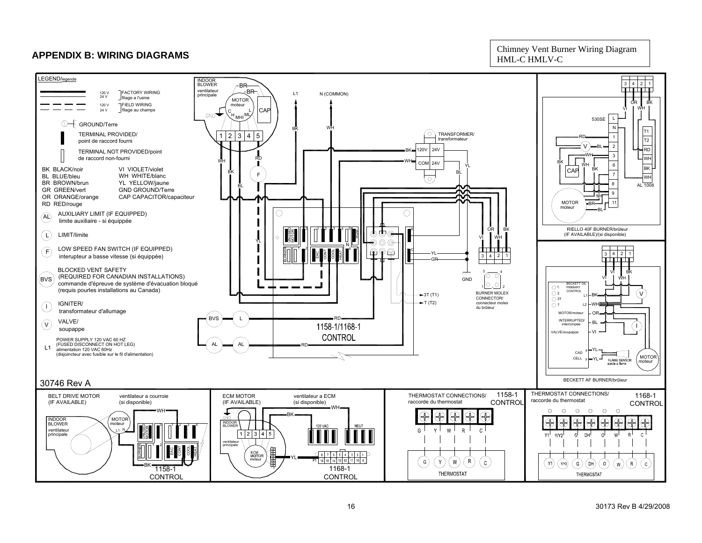#### **APPENDIX B: WIRING DIAGRAMS**

Chimney Vent Burner Wiring Diagram HML-C HMLV-C

<span id="page-15-0"></span>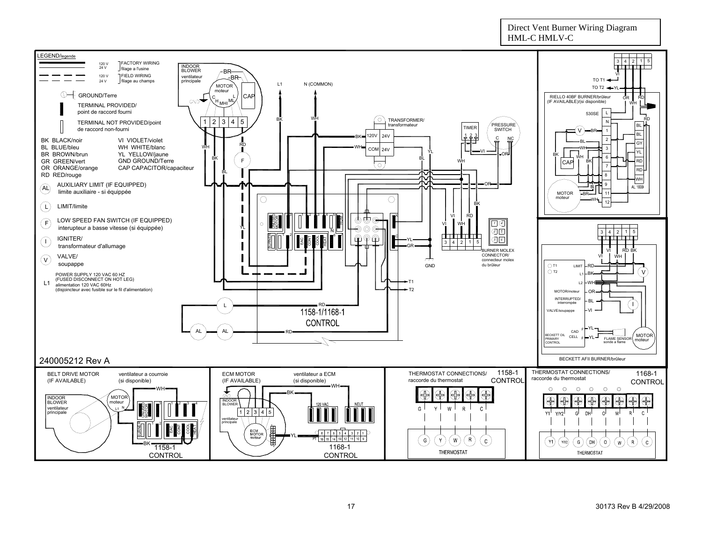#### HML-C HMLV-CLEGEND/legende FACTORY WIRING3 | 4 | 2 | 1 | 5 120 VINDOOR24 V filage a l'usine  $-BR$ BLOWER FIELD WIRING120 VVI principale ventilateur BR TO T1 $\triangleleft$ 24 V filage au champs L1N (COMMON) MOTORTO T2  $\rightarrow$  YL moteur**CAF** RIELLO 40BF BURNER/brûleurGROUND/Terre ORR IRD  $GND$ (IF AVAILABLE)/(si disponible) HMLTERMINAL PROVIDED/MHIWHpoint de raccord fourni 530SE <sup>L</sup> ര BKWHRDTERMINAL NOT PROVIDED/point TRANSFORMER/ transformateur 1 | 2 | 3 4 5 7 5 N $R$   $/$  PRESSURE<br>SWITCH TIMERBLde raccord non-fourniVBRR— 1 120V 24VBL123 VI VIOLET/violetBKBK BLACK/noirCNC2BLGY BL BLUE/bleuWH WHITE/blanc RDWHWH3WHCOMI 24V YL BR BROWN/brunYL YELLOW/jaune YLVI——∧OR BKWHBKBL6GR GREEN/vert GND GROUND/TerreF**CAP** WHBKKII—II <del>Y</del>II—IRD ر ه ا OR ORANGE/orange CAP CAPACITOR/capaciteur 7RDBL℧ RD RED/rouge 8WH AUXILIARY LIMIT (IF EQUIPPED) 9ORALAL 1009 limite auxiliaire - si équippée moteur MOTOR 11BR $\bigcirc$  $\circ$ WH12BKLIMIT/limiteL VI RDUNUSED  $\frac{1}{2}$   $\frac{1}{2}$ 12 43 a 4 m 5 XLOW SPEED FAN SWITCH (IF EQUIPPED) HUM ⊚  $\overline{10}$ F VIWHinterupteur a basse vitesse (si équippée)  $\circledcirc$ YL $(2)$  5 N3 | 4 | 2 | 1 | 5 43 $\tilde{\mathsf{P}}$ والتلبتانية  $\begin{smallmatrix}\mathbb{F}\mathbb{F} & \mathbb{F} & \mathbb{F} \end{smallmatrix}$ 7卫 C $\bigcirc$ CONT COOL  $\sqrt{1}$  $\bigcap$  igniter/ HEAT EAC YL3 | 4 | 2 | 1 | 5 transformateur d'allumage GRBURNER MOLEXD BK VII IRD CONNECTOR/VALVE/VIWH $\overline{\phantom{a}}$  connecteur molex V) VALVL soupappe GNDdu brûleur $O T1$ LIMITRD T2 VBKL1POWER SUPPLY 120 VAC 60 HZ L1 (FUSED DISCONNECT ON HOT LEG) alimentation 120 VAC 60HzT1 $\overline{2}$ WH(disjoincteur avec fusible sur le fil d'alimentation)  $T \rightarrow T2$ **MOTOR** ORINTERRUPTED/BLinterrompée DD. L 1158-1/1168-1 VALVE/soupappe VICONTROL YLFALL — (AL <del>) — — — R</del>D CADMOTORBECKETT OILCELL  $\sim$ YL**RIMARY** F<sup>1L</sup> FLAME SENSOR moteu moteur**CONTROL** sonde a flameBECKETT AFII BURNER/brûleur240005212 Rev A1158-1THERMOSTAT CONNECTIONS/ THERMOSTAT CONNECTIONS/ ECM MOTORventilateur a ECM1168-1BELT DRIVE MOTOR ventilateur a courroie raccorde du thermostat(IF AVAILABLE) (si disponible) (IF AVAILABLE) (si disponible) raccorde du thermostatCONTROL **CONTROL** WH $\circ$  $\circ$  $\circ$  $\Omega$  $\circ$ WH $\Omega$ BK**MOTO** INDOOR⊕ Æ Æ Æ ⊕ ſ moteur INDOOR**BLOWER** UNUSED 31 m 1 d 2 m 3 m 4 খা⊓া∎≚∎া∎৭ /I IBIOWFR ventilateurMUTHER LIBERTY G W V.  $\mathsf{R}$ N $1 \mid 2$  $\vert$ 3 l 4 | 5 principale **VM<sub>2</sub>** d **DH**  $\epsilon$ ventilateur $\frac{2}{\left|\mathbf{r}\right|}\left|\frac{1}{\mathbf{r}}\right|$   $\frac{1}{\mathbf{r}}\left|\frac{1}{\mathbf{r}}\right|$   $\frac{1}{\mathbf{r}}\left|\frac{1}{\mathbf{r}}\right|$  principale BURNER  $\frac{1}{2}$   $\frac{1}{2}$   $\frac{1}{2}$   $\frac{1}{2}$   $\frac{1}{2}$   $\frac{1}{2}$   $\frac{1}{2}$   $\frac{1}{2}$   $\frac{1}{2}$   $\frac{1}{2}$   $\frac{1}{2}$   $\frac{1}{2}$   $\frac{1}{2}$   $\frac{1}{2}$   $\frac{1}{2}$   $\frac{1}{2}$   $\frac{1}{2}$   $\frac{1}{2}$   $\frac{1}{2}$   $\frac{1}{2}$   $\frac{1}{2}$   $\frac{1}{2}$  HEAT EAC  $Q$  8 7 6 5 4  $(3)$  2 1  $\frac{1}{2}$   $\frac{1}{16}$   $\frac{1}{16}$   $\frac{1}{14}$   $\frac{1}{13}$   $\frac{1}{12}$   $\frac{1}{11}$   $\frac{1}{10}$   $\frac{1}{9}$ YL $\left( 6\right)$  $Y$  $[W]$  $\mathsf{R}$  $\overline{\mathsf{c}}$  .  $\left[ 1, 1 \right]$ (DH G  $\Omega$ BK1168-11158-1THERMOSTAT THERMOSTAT **CONTROL**

Direct Vent Burner Wiring Diagram

**CONTROL**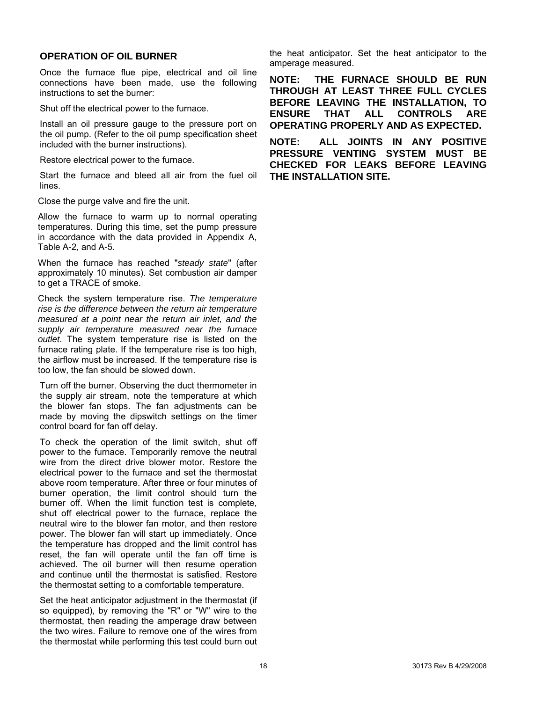#### <span id="page-17-0"></span>**OPERATION OF OIL BURNER**

Once the furnace flue pipe, electrical and oil line connections have been made, use the following instructions to set the burner:

Shut off the electrical power to the furnace.

Install an oil pressure gauge to the pressure port on the oil pump. (Refer to the oil pump specification sheet included with the burner instructions).

Restore electrical power to the furnace.

Start the furnace and bleed all air from the fuel oil lines.

Close the purge valve and fire the unit.

Allow the furnace to warm up to normal operating temperatures. During this time, set the pump pressure in accordance with the data provided in Appendix A, Table A-2, and A-5.

When the furnace has reached "*steady state*" (after approximately 10 minutes). Set combustion air damper to get a TRACE of smoke.

Check the system temperature rise. *The temperature rise is the difference between the return air temperature measured at a point near the return air inlet, and the supply air temperature measured near the furnace outlet*. The system temperature rise is listed on the furnace rating plate. If the temperature rise is too high, the airflow must be increased. If the temperature rise is too low, the fan should be slowed down.

Turn off the burner. Observing the duct thermometer in the supply air stream, note the temperature at which the blower fan stops. The fan adjustments can be made by moving the dipswitch settings on the timer control board for fan off delay.

To check the operation of the limit switch, shut off power to the furnace. Temporarily remove the neutral wire from the direct drive blower motor. Restore the electrical power to the furnace and set the thermostat above room temperature. After three or four minutes of burner operation, the limit control should turn the burner off. When the limit function test is complete, shut off electrical power to the furnace, replace the neutral wire to the blower fan motor, and then restore power. The blower fan will start up immediately. Once the temperature has dropped and the limit control has reset, the fan will operate until the fan off time is achieved. The oil burner will then resume operation and continue until the thermostat is satisfied. Restore the thermostat setting to a comfortable temperature.

Set the heat anticipator adjustment in the thermostat (if so equipped), by removing the "R" or "W" wire to the thermostat, then reading the amperage draw between the two wires. Failure to remove one of the wires from the thermostat while performing this test could burn out

the heat anticipator. Set the heat anticipator to the amperage measured.

**NOTE: THE FURNACE SHOULD BE RUN THROUGH AT LEAST THREE FULL CYCLES BEFORE LEAVING THE INSTALLATION, TO ENSURE THAT ALL CONTROLS ARE OPERATING PROPERLY AND AS EXPECTED.** 

**NOTE: ALL JOINTS IN ANY POSITIVE PRESSURE VENTING SYSTEM MUST BE CHECKED FOR LEAKS BEFORE LEAVING THE INSTALLATION SITE.**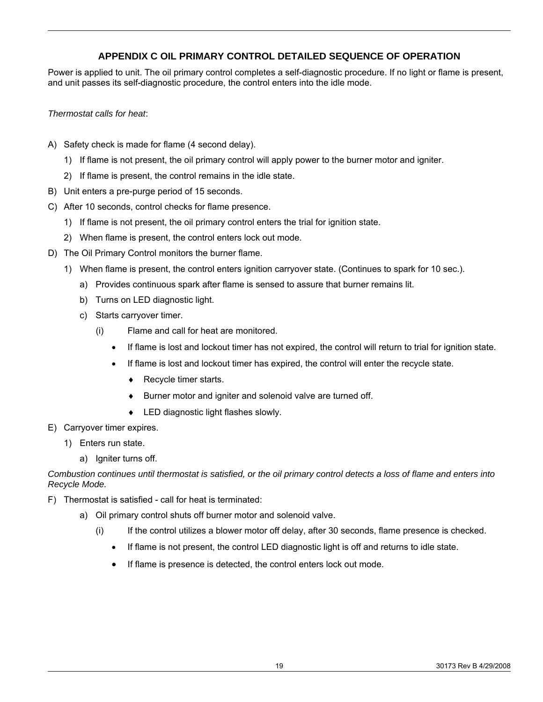#### **APPENDIX C OIL PRIMARY CONTROL DETAILED SEQUENCE OF OPERATION**

<span id="page-18-0"></span>Power is applied to unit. The oil primary control completes a self-diagnostic procedure. If no light or flame is present, and unit passes its self-diagnostic procedure, the control enters into the idle mode.

*Thermostat calls for heat*:

- A) Safety check is made for flame (4 second delay).
	- 1) If flame is not present, the oil primary control will apply power to the burner motor and igniter.
	- 2) If flame is present, the control remains in the idle state.
- B) Unit enters a pre-purge period of 15 seconds.
- C) After 10 seconds, control checks for flame presence.
	- 1) If flame is not present, the oil primary control enters the trial for ignition state.
	- 2) When flame is present, the control enters lock out mode.
- D) The Oil Primary Control monitors the burner flame.
	- 1) When flame is present, the control enters ignition carryover state. (Continues to spark for 10 sec.).
		- a) Provides continuous spark after flame is sensed to assure that burner remains lit.
		- b) Turns on LED diagnostic light.
		- c) Starts carryover timer.
			- (i) Flame and call for heat are monitored.
				- If flame is lost and lockout timer has not expired, the control will return to trial for ignition state.
				- If flame is lost and lockout timer has expired, the control will enter the recycle state.
					- ♦ Recycle timer starts.
					- ♦ Burner motor and igniter and solenoid valve are turned off.
					- ♦ LED diagnostic light flashes slowly.
- E) Carryover timer expires.
	- 1) Enters run state.
		- a) Igniter turns off.

*Combustion continues until thermostat is satisfied, or the oil primary control detects a loss of flame and enters into Recycle Mode.* 

- F) Thermostat is satisfied call for heat is terminated:
	- a) Oil primary control shuts off burner motor and solenoid valve.
		- (i) If the control utilizes a blower motor off delay, after 30 seconds, flame presence is checked.
			- If flame is not present, the control LED diagnostic light is off and returns to idle state.
			- If flame is presence is detected, the control enters lock out mode.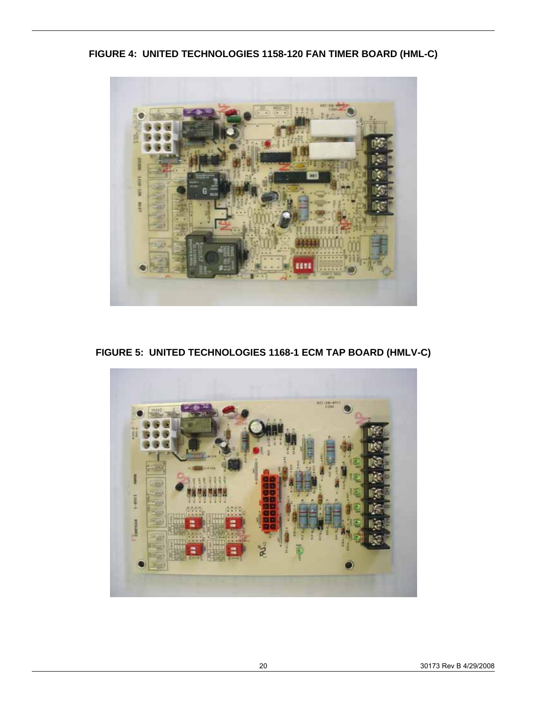**FIGURE 4: UNITED TECHNOLOGIES 1158-120 FAN TIMER BOARD (HML-C)** 



**FIGURE 5: UNITED TECHNOLOGIES 1168-1 ECM TAP BOARD (HMLV-C)** 

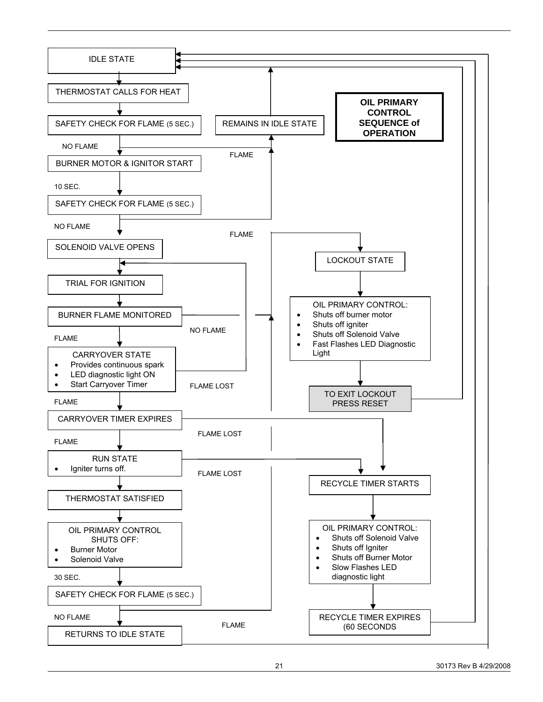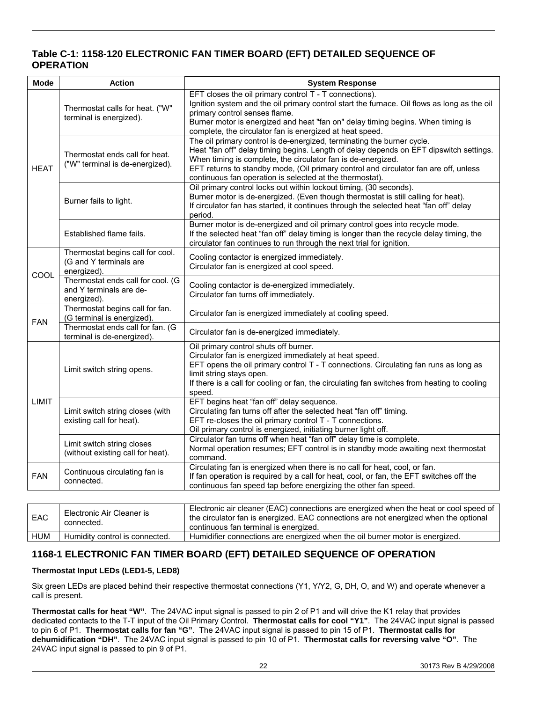#### **Table C-1: 1158-120 ELECTRONIC FAN TIMER BOARD (EFT) DETAILED SEQUENCE OF OPERATION**

| <b>Mode</b>  | <b>Action</b>                                                               | <b>System Response</b>                                                                                                                                                                                                                                                                                                                                                               |
|--------------|-----------------------------------------------------------------------------|--------------------------------------------------------------------------------------------------------------------------------------------------------------------------------------------------------------------------------------------------------------------------------------------------------------------------------------------------------------------------------------|
|              | Thermostat calls for heat. ("W"<br>terminal is energized).                  | EFT closes the oil primary control T - T connections).<br>Ignition system and the oil primary control start the furnace. Oil flows as long as the oil<br>primary control senses flame.<br>Burner motor is energized and heat "fan on" delay timing begins. When timing is<br>complete, the circulator fan is energized at heat speed.                                                |
| <b>HEAT</b>  | Thermostat ends call for heat.<br>("W" terminal is de-energized).           | The oil primary control is de-energized, terminating the burner cycle.<br>Heat "fan off" delay timing begins. Length of delay depends on EFT dipswitch settings.<br>When timing is complete, the circulator fan is de-energized.<br>EFT returns to standby mode, (Oil primary control and circulator fan are off, unless<br>continuous fan operation is selected at the thermostat). |
|              | Burner fails to light.                                                      | Oil primary control locks out within lockout timing, (30 seconds).<br>Burner motor is de-energized. (Even though thermostat is still calling for heat).<br>If circulator fan has started, it continues through the selected heat "fan off" delay<br>period.                                                                                                                          |
|              | Established flame fails.                                                    | Burner motor is de-energized and oil primary control goes into recycle mode.<br>If the selected heat "fan off" delay timing is longer than the recycle delay timing, the<br>circulator fan continues to run through the next trial for ignition.                                                                                                                                     |
| COOL         | Thermostat begins call for cool.<br>(G and Y terminals are<br>energized).   | Cooling contactor is energized immediately.<br>Circulator fan is energized at cool speed.                                                                                                                                                                                                                                                                                            |
|              | Thermostat ends call for cool. (G<br>and Y terminals are de-<br>energized). | Cooling contactor is de-energized immediately.<br>Circulator fan turns off immediately.                                                                                                                                                                                                                                                                                              |
| <b>FAN</b>   | Thermostat begins call for fan.<br>(G terminal is energized).               | Circulator fan is energized immediately at cooling speed.                                                                                                                                                                                                                                                                                                                            |
|              | Thermostat ends call for fan. (G<br>terminal is de-energized).              | Circulator fan is de-energized immediately.                                                                                                                                                                                                                                                                                                                                          |
|              | Limit switch string opens.                                                  | Oil primary control shuts off burner.<br>Circulator fan is energized immediately at heat speed.<br>EFT opens the oil primary control $T - T$ connections. Circulating fan runs as long as<br>limit string stays open.<br>If there is a call for cooling or fan, the circulating fan switches from heating to cooling<br>speed.                                                       |
| <b>LIMIT</b> | Limit switch string closes (with<br>existing call for heat).                | EFT begins heat "fan off" delay sequence.<br>Circulating fan turns off after the selected heat "fan off" timing.<br>EFT re-closes the oil primary control T - T connections.<br>Oil primary control is energized, initiating burner light off.                                                                                                                                       |
|              | Limit switch string closes<br>(without existing call for heat).             | Circulator fan turns off when heat "fan off" delay time is complete.<br>Normal operation resumes; EFT control is in standby mode awaiting next thermostat<br>command.                                                                                                                                                                                                                |
| <b>FAN</b>   | Continuous circulating fan is<br>connected.                                 | Circulating fan is energized when there is no call for heat, cool, or fan.<br>If fan operation is required by a call for heat, cool, or fan, the EFT switches off the<br>continuous fan speed tap before energizing the other fan speed.                                                                                                                                             |
|              |                                                                             |                                                                                                                                                                                                                                                                                                                                                                                      |
| EAC          | Electronic Air Cleaner is<br>connected.                                     | Electronic air cleaner (EAC) connections are energized when the heat or cool speed of<br>the circulator fan is energized. EAC connections are not energized when the optional<br>continuous fan terminal is energized.                                                                                                                                                               |

#### **1168-1 ELECTRONIC FAN TIMER BOARD (EFT) DETAILED SEQUENCE OF OPERATION**

HUM | Humidity control is connected. | Humidifier connections are energized when the oil burner motor is energized.

#### **Thermostat Input LEDs (LED1-5, LED8)**

Six green LEDs are placed behind their respective thermostat connections (Y1, Y/Y2, G, DH, O, and W) and operate whenever a call is present.

**Thermostat calls for heat "W"**. The 24VAC input signal is passed to pin 2 of P1 and will drive the K1 relay that provides dedicated contacts to the T-T input of the Oil Primary Control. **Thermostat calls for cool "Y1"**. The 24VAC input signal is passed to pin 6 of P1. **Thermostat calls for fan "G"**. The 24VAC input signal is passed to pin 15 of P1. **Thermostat calls for dehumidification "DH"**. The 24VAC input signal is passed to pin 10 of P1. **Thermostat calls for reversing valve "O"**. The 24VAC input signal is passed to pin 9 of P1.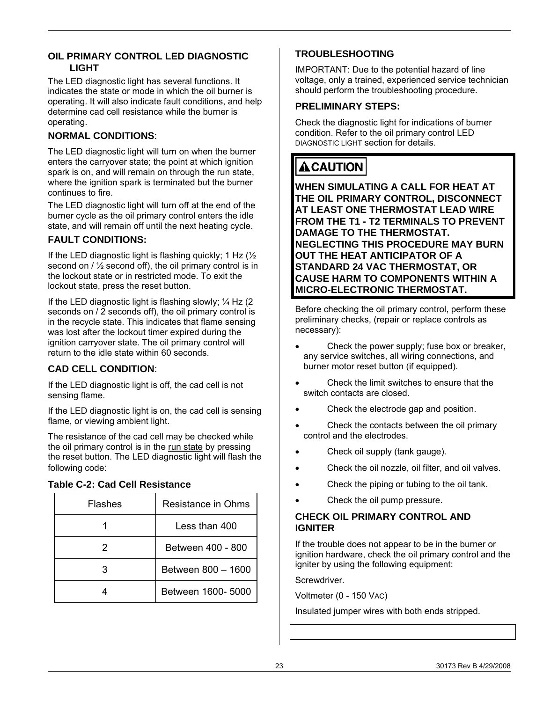#### <span id="page-22-0"></span>**OIL PRIMARY CONTROL LED DIAGNOSTIC LIGHT**

The LED diagnostic light has several functions. It indicates the state or mode in which the oil burner is operating. It will also indicate fault conditions, and help determine cad cell resistance while the burner is operating.

#### **NORMAL CONDITIONS**:

The LED diagnostic light will turn on when the burner enters the carryover state; the point at which ignition spark is on, and will remain on through the run state, where the ignition spark is terminated but the burner continues to fire.

The LED diagnostic light will turn off at the end of the burner cycle as the oil primary control enters the idle state, and will remain off until the next heating cycle.

#### **FAULT CONDITIONS:**

If the LED diagnostic light is flashing quickly; 1 Hz  $\frac{1}{2}$ second on /  $\frac{1}{2}$  second off), the oil primary control is in the lockout state or in restricted mode. To exit the lockout state, press the reset button.

If the LED diagnostic light is flashing slowly;  $\frac{1}{4}$  Hz (2) seconds on / 2 seconds off), the oil primary control is in the recycle state. This indicates that flame sensing was lost after the lockout timer expired during the ignition carryover state. The oil primary control will return to the idle state within 60 seconds.

#### **CAD CELL CONDITION**:

If the LED diagnostic light is off, the cad cell is not sensing flame.

If the LED diagnostic light is on, the cad cell is sensing flame, or viewing ambient light.

The resistance of the cad cell may be checked while the oil primary control is in the run state by pressing the reset button. The LED diagnostic light will flash the following code:

#### **Table C-2: Cad Cell Resistance**

| Flashes | Resistance in Ohms |
|---------|--------------------|
|         | Less than 400      |
|         | Between 400 - 800  |
|         | Between 800 - 1600 |
|         | Between 1600- 5000 |

#### **TROUBLESHOOTING**

IMPORTANT: Due to the potential hazard of line voltage, only a trained, experienced service technician should perform the troubleshooting procedure.

#### **PRELIMINARY STEPS:**

Check the diagnostic light for indications of burner condition. Refer to the oil primary control LED DIAGNOSTIC LIGHT section for details.

## **ACAUTION**

**WHEN SIMULATING A CALL FOR HEAT AT THE OIL PRIMARY CONTROL, DISCONNECT AT LEAST ONE THERMOSTAT LEAD WIRE FROM THE T1 - T2 TERMINALS TO PREVENT DAMAGE TO THE THERMOSTAT. NEGLECTING THIS PROCEDURE MAY BURN OUT THE HEAT ANTICIPATOR OF A STANDARD 24 VAC THERMOSTAT, OR CAUSE HARM TO COMPONENTS WITHIN A MICRO-ELECTRONIC THERMOSTAT.** 

Before checking the oil primary control, perform these preliminary checks, (repair or replace controls as necessary):

- Check the power supply; fuse box or breaker, any service switches, all wiring connections, and burner motor reset button (if equipped).
- Check the limit switches to ensure that the switch contacts are closed.
- Check the electrode gap and position.
- Check the contacts between the oil primary control and the electrodes.
- Check oil supply (tank gauge).
- Check the oil nozzle, oil filter, and oil valves.
- Check the piping or tubing to the oil tank.
- Check the oil pump pressure.

#### **CHECK OIL PRIMARY CONTROL AND IGNITER**

If the trouble does not appear to be in the burner or ignition hardware, check the oil primary control and the igniter by using the following equipment:

Screwdriver.

Voltmeter (0 - 150 VAC)

Insulated jumper wires with both ends stripped.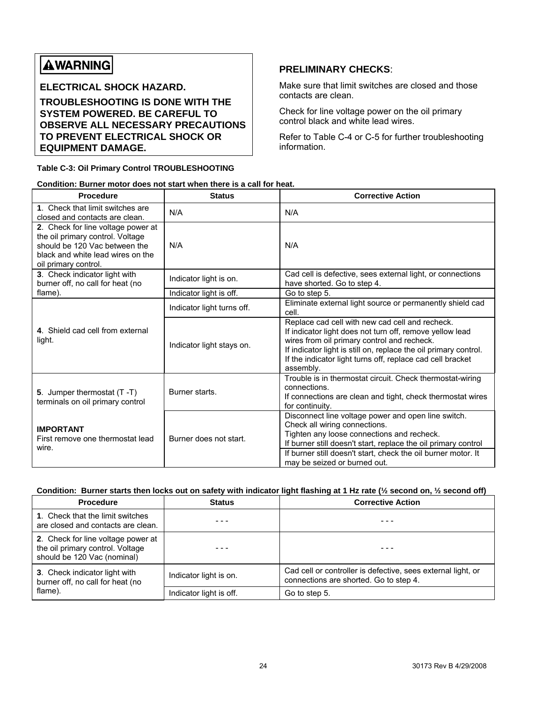## **AWARNING**

**ELECTRICAL SHOCK HAZARD.** 

**TROUBLESHOOTING IS DONE WITH THE SYSTEM POWERED. BE CAREFUL TO OBSERVE ALL NECESSARY PRECAUTIONS TO PREVENT ELECTRICAL SHOCK OR EQUIPMENT DAMAGE.** 

#### **Table C-3: Oil Primary Control TROUBLESHOOTING**

#### **PRELIMINARY CHECKS**:

Make sure that limit switches are closed and those contacts are clean.

Check for line voltage power on the oil primary control black and white lead wires.

Refer to Table C-4 or C-5 for further troubleshooting information.

|  | Condition: Burner motor does not start when there is a call for heat. |
|--|-----------------------------------------------------------------------|
|  |                                                                       |

| <b>Procedure</b>                                                                                                                                                     | <b>Status</b>              | <b>Corrective Action</b>                                                                                                                                                                                                                                                                                  |
|----------------------------------------------------------------------------------------------------------------------------------------------------------------------|----------------------------|-----------------------------------------------------------------------------------------------------------------------------------------------------------------------------------------------------------------------------------------------------------------------------------------------------------|
| 1. Check that limit switches are<br>closed and contacts are clean.                                                                                                   | N/A                        | N/A                                                                                                                                                                                                                                                                                                       |
| 2. Check for line voltage power at<br>the oil primary control. Voltage<br>should be 120 Vac between the<br>black and white lead wires on the<br>oil primary control. | N/A                        | N/A                                                                                                                                                                                                                                                                                                       |
| 3. Check indicator light with<br>burner off, no call for heat (no                                                                                                    | Indicator light is on.     | Cad cell is defective, sees external light, or connections<br>have shorted. Go to step 4.                                                                                                                                                                                                                 |
| flame).                                                                                                                                                              | Indicator light is off.    | Go to step 5.                                                                                                                                                                                                                                                                                             |
|                                                                                                                                                                      | Indicator light turns off. | Eliminate external light source or permanently shield cad<br>cell.                                                                                                                                                                                                                                        |
| 4. Shield cad cell from external<br>light.                                                                                                                           | Indicator light stays on.  | Replace cad cell with new cad cell and recheck.<br>If indicator light does not turn off, remove yellow lead<br>wires from oil primary control and recheck.<br>If indicator light is still on, replace the oil primary control.<br>If the indicator light turns off, replace cad cell bracket<br>assembly. |
| 5. Jumper thermostat (T-T)<br>terminals on oil primary control                                                                                                       | Burner starts.             | Trouble is in thermostat circuit. Check thermostat-wiring<br>connections.<br>If connections are clean and tight, check thermostat wires<br>for continuity.                                                                                                                                                |
| <b>IMPORTANT</b><br>First remove one thermostat lead<br>wire.                                                                                                        | Burner does not start.     | Disconnect line voltage power and open line switch.<br>Check all wiring connections.<br>Tighten any loose connections and recheck.<br>If burner still doesn't start, replace the oil primary control<br>If burner still doesn't start, check the oil burner motor. It<br>may be seized or burned out.     |

#### **Condition: Burner starts then locks out on safety with indicator light flashing at 1 Hz rate (½ second on, ½ second off)**

| <b>Procedure</b>                                                                                      | <b>Status</b>           | <b>Corrective Action</b>                                                                               |
|-------------------------------------------------------------------------------------------------------|-------------------------|--------------------------------------------------------------------------------------------------------|
| 1. Check that the limit switches<br>are closed and contacts are clean.                                |                         |                                                                                                        |
| 2. Check for line voltage power at<br>the oil primary control. Voltage<br>should be 120 Vac (nominal) |                         |                                                                                                        |
| 3. Check indicator light with<br>burner off, no call for heat (no                                     | Indicator light is on.  | Cad cell or controller is defective, sees external light, or<br>connections are shorted. Go to step 4. |
| flame).                                                                                               | Indicator light is off. | Go to step 5.                                                                                          |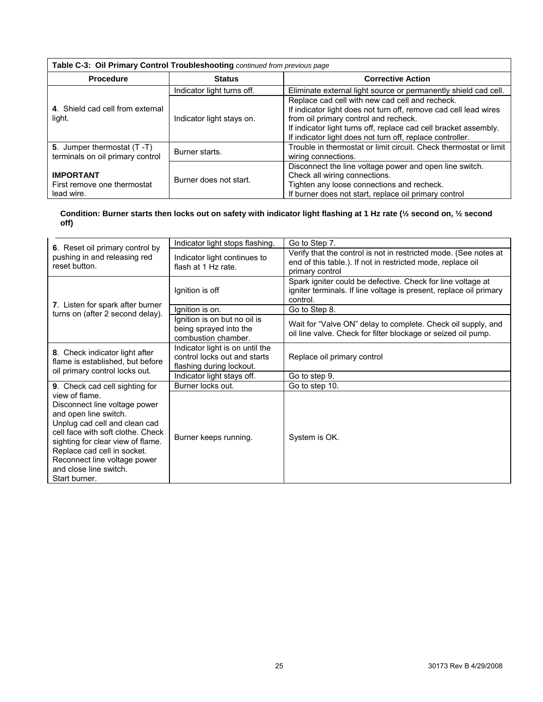### **Table C-3: Oil Primary Control Troubleshooting** *continued from previous page*

| <b>Procedure</b>                                               | <b>Status</b>              | <b>Corrective Action</b>                                                                                                                                                                                                                                                                      |  |  |
|----------------------------------------------------------------|----------------------------|-----------------------------------------------------------------------------------------------------------------------------------------------------------------------------------------------------------------------------------------------------------------------------------------------|--|--|
|                                                                | Indicator light turns off. | Eliminate external light source or permanently shield cad cell.                                                                                                                                                                                                                               |  |  |
| 4. Shield cad cell from external<br>light.                     | Indicator light stays on.  | Replace cad cell with new cad cell and recheck.<br>If indicator light does not turn off, remove cad cell lead wires<br>from oil primary control and recheck.<br>If indicator light turns off, replace cad cell bracket assembly.<br>If indicator light does not turn off, replace controller. |  |  |
| 5. Jumper thermostat (T-T)<br>terminals on oil primary control | Burner starts.             | Trouble in thermostat or limit circuit. Check thermostat or limit<br>wiring connections.                                                                                                                                                                                                      |  |  |
| <b>IMPORTANT</b><br>First remove one thermostat<br>lead wire.  | Burner does not start.     | Disconnect the line voltage power and open line switch.<br>Check all wiring connections.<br>Tighten any loose connections and recheck.<br>If burner does not start, replace oil primary control                                                                                               |  |  |

#### **Condition: Burner starts then locks out on safety with indicator light flashing at 1 Hz rate (½ second on, ½ second off)**

|                                                                                                                                                                                                                                                                                               | Indicator light stops flashing.                                                             | Go to Step 7.                                                                                                                                      |
|-----------------------------------------------------------------------------------------------------------------------------------------------------------------------------------------------------------------------------------------------------------------------------------------------|---------------------------------------------------------------------------------------------|----------------------------------------------------------------------------------------------------------------------------------------------------|
| 6. Reset oil primary control by<br>pushing in and releasing red<br>reset button.                                                                                                                                                                                                              | Indicator light continues to<br>flash at 1 Hz rate.                                         | Verify that the control is not in restricted mode. (See notes at<br>end of this table.). If not in restricted mode, replace oil<br>primary control |
| 7. Listen for spark after burner                                                                                                                                                                                                                                                              | Ignition is off                                                                             | Spark igniter could be defective. Check for line voltage at<br>igniter terminals. If line voltage is present, replace oil primary<br>control.      |
| turns on (after 2 second delay).                                                                                                                                                                                                                                                              | Ignition is on.                                                                             | Go to Step 8.                                                                                                                                      |
|                                                                                                                                                                                                                                                                                               | Ignition is on but no oil is<br>being sprayed into the<br>combustion chamber.               | Wait for "Valve ON" delay to complete. Check oil supply, and<br>oil line valve. Check for filter blockage or seized oil pump.                      |
| 8. Check indicator light after<br>flame is established, but before<br>oil primary control locks out.                                                                                                                                                                                          | Indicator light is on until the<br>control locks out and starts<br>flashing during lockout. | Replace oil primary control                                                                                                                        |
|                                                                                                                                                                                                                                                                                               | Indicator light stays off.                                                                  | Go to step 9.                                                                                                                                      |
| 9. Check cad cell sighting for                                                                                                                                                                                                                                                                | Burner locks out.                                                                           | Go to step 10.                                                                                                                                     |
| view of flame.<br>Disconnect line voltage power<br>and open line switch.<br>Unplug cad cell and clean cad<br>cell face with soft clothe. Check<br>sighting for clear view of flame.<br>Replace cad cell in socket.<br>Reconnect line voltage power<br>and close line switch.<br>Start burner. | Burner keeps running.                                                                       | System is OK.                                                                                                                                      |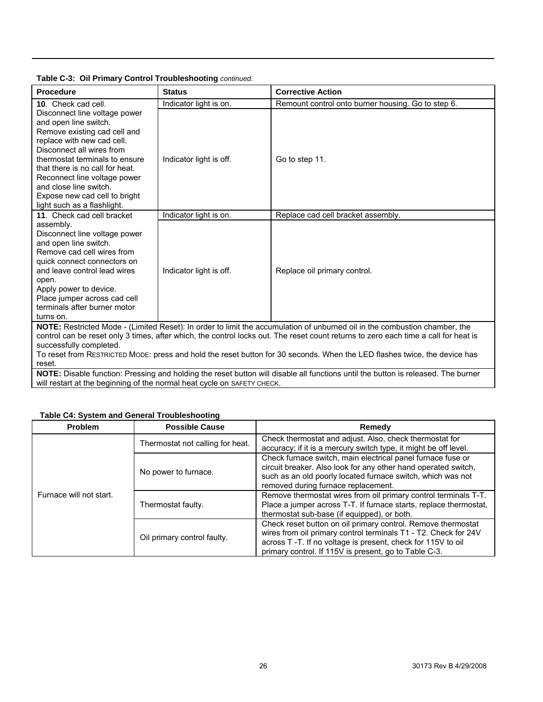#### **Table C-3: Oil Primary Control Troubleshooting** *continued.*

| <b>Procedure</b>                                                                                                                                                                                                                                                                                                                                                                                                          | <b>Status</b>                                           | <b>Corrective Action</b>                           |
|---------------------------------------------------------------------------------------------------------------------------------------------------------------------------------------------------------------------------------------------------------------------------------------------------------------------------------------------------------------------------------------------------------------------------|---------------------------------------------------------|----------------------------------------------------|
| 10. Check cad cell.                                                                                                                                                                                                                                                                                                                                                                                                       | Indicator light is on.                                  | Remount control onto burner housing. Go to step 6. |
| Disconnect line voltage power<br>and open line switch.<br>Remove existing cad cell and<br>replace with new cad cell.<br>Disconnect all wires from<br>thermostat terminals to ensure<br>that there is no call for heat.<br>Reconnect line voltage power<br>and close line switch.<br>Expose new cad cell to bright<br>light such as a flashlight.                                                                          | Indicator light is off.                                 | Go to step 11.                                     |
| 11. Check cad cell bracket                                                                                                                                                                                                                                                                                                                                                                                                | Indicator light is on.                                  | Replace cad cell bracket assembly.                 |
| assembly.<br>Disconnect line voltage power<br>and open line switch.<br>Remove cad cell wires from<br>quick connect connectors on<br>and leave control lead wires<br>open.<br>Apply power to device.<br>Place jumper across cad cell<br>terminals after burner motor<br>turns on.                                                                                                                                          | Indicator light is off.<br>Replace oil primary control. |                                                    |
| NOTE: Restricted Mode - (Limited Reset): In order to limit the accumulation of unburned oil in the combustion chamber, the<br>control can be reset only 3 times, after which, the control locks out. The reset count returns to zero each time a call for heat is<br>successfully completed.<br>To reset from RESTRICTED MODE: press and hold the reset button for 30 seconds. When the LED flashes twice, the device has |                                                         |                                                    |

reset.

**NOTE:** Disable function: Pressing and holding the reset button will disable all functions until the button is released. The burner will restart at the beginning of the normal heat cycle on SAFETY CHECK.

#### **Table C4: System and General Troubleshooting**

| <b>Problem</b><br><b>Possible Cause</b><br>Remedy |                                  |                                                                                                                                                                                                                                                                                                        |
|---------------------------------------------------|----------------------------------|--------------------------------------------------------------------------------------------------------------------------------------------------------------------------------------------------------------------------------------------------------------------------------------------------------|
|                                                   | Thermostat not calling for heat. | Check thermostat and adjust. Also, check thermostat for<br>accuracy; if it is a mercury switch type, it might be off level.                                                                                                                                                                            |
| Furnace will not start.                           | No power to furnace.             | Check furnace switch, main electrical panel furnace fuse or<br>circuit breaker. Also look for any other hand operated switch,<br>such as an old poorly located furnace switch, which was not<br>removed during furnace replacement.<br>Remove thermostat wires from oil primary control terminals T-T. |
|                                                   | Thermostat faulty.               | Place a jumper across T-T. If furnace starts, replace thermostat,<br>thermostat sub-base (if equipped), or both.                                                                                                                                                                                       |
|                                                   | Oil primary control faulty.      | Check reset button on oil primary control. Remove thermostat<br>wires from oil primary control terminals T1 - T2. Check for 24V<br>across T-T. If no voltage is present, check for 115V to oil<br>primary control. If 115V is present, go to Table C-3.                                                |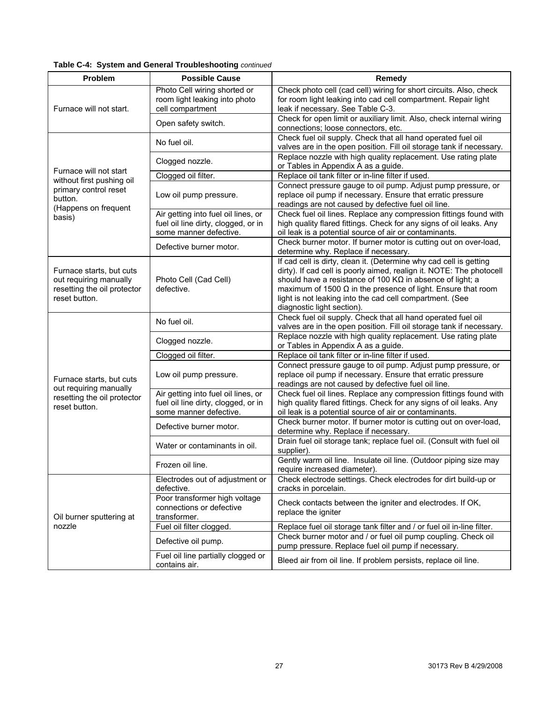| Problem                                                                                            | <b>Possible Cause</b>                                                                                | Remedy                                                                                                                                                                                                                                                                                                                                                                           |  |
|----------------------------------------------------------------------------------------------------|------------------------------------------------------------------------------------------------------|----------------------------------------------------------------------------------------------------------------------------------------------------------------------------------------------------------------------------------------------------------------------------------------------------------------------------------------------------------------------------------|--|
| Furnace will not start.                                                                            | Photo Cell wiring shorted or<br>room light leaking into photo<br>cell compartment                    | Check photo cell (cad cell) wiring for short circuits. Also, check<br>for room light leaking into cad cell compartment. Repair light<br>leak if necessary. See Table C-3.                                                                                                                                                                                                        |  |
|                                                                                                    | Open safety switch.                                                                                  | Check for open limit or auxiliary limit. Also, check internal wiring<br>connections; loose connectors, etc.                                                                                                                                                                                                                                                                      |  |
|                                                                                                    | No fuel oil.                                                                                         | Check fuel oil supply. Check that all hand operated fuel oil<br>valves are in the open position. Fill oil storage tank if necessary.                                                                                                                                                                                                                                             |  |
|                                                                                                    | Clogged nozzle.                                                                                      | Replace nozzle with high quality replacement. Use rating plate<br>or Tables in Appendix A as a guide.                                                                                                                                                                                                                                                                            |  |
| Furnace will not start<br>without first pushing oil                                                | Clogged oil filter.                                                                                  | Replace oil tank filter or in-line filter if used.                                                                                                                                                                                                                                                                                                                               |  |
| primary control reset<br>button.<br>(Happens on frequent                                           | Low oil pump pressure.                                                                               | Connect pressure gauge to oil pump. Adjust pump pressure, or<br>replace oil pump if necessary. Ensure that erratic pressure<br>readings are not caused by defective fuel oil line.                                                                                                                                                                                               |  |
| basis)                                                                                             | Air getting into fuel oil lines, or<br>fuel oil line dirty, clogged, or in<br>some manner defective. | Check fuel oil lines. Replace any compression fittings found with<br>high quality flared fittings. Check for any signs of oil leaks. Any<br>oil leak is a potential source of air or contaminants.                                                                                                                                                                               |  |
|                                                                                                    | Defective burner motor.                                                                              | Check burner motor. If burner motor is cutting out on over-load,<br>determine why. Replace if necessary.                                                                                                                                                                                                                                                                         |  |
| Furnace starts, but cuts<br>out requiring manually<br>resetting the oil protector<br>reset button. | Photo Cell (Cad Cell)<br>defective.                                                                  | If cad cell is dirty, clean it. (Determine why cad cell is getting<br>dirty). If cad cell is poorly aimed, realign it. NOTE: The photocell<br>should have a resistance of 100 K $\Omega$ in absence of light; a<br>maximum of 1500 $\Omega$ in the presence of light. Ensure that room<br>light is not leaking into the cad cell compartment. (See<br>diagnostic light section). |  |
|                                                                                                    | No fuel oil.                                                                                         | Check fuel oil supply. Check that all hand operated fuel oil<br>valves are in the open position. Fill oil storage tank if necessary.                                                                                                                                                                                                                                             |  |
|                                                                                                    | Clogged nozzle.                                                                                      | Replace nozzle with high quality replacement. Use rating plate<br>or Tables in Appendix A as a guide.                                                                                                                                                                                                                                                                            |  |
|                                                                                                    | Clogged oil filter.                                                                                  | Replace oil tank filter or in-line filter if used.                                                                                                                                                                                                                                                                                                                               |  |
| Furnace starts, but cuts<br>out requiring manually<br>resetting the oil protector<br>reset button. | Low oil pump pressure.                                                                               | Connect pressure gauge to oil pump. Adjust pump pressure, or<br>replace oil pump if necessary. Ensure that erratic pressure<br>readings are not caused by defective fuel oil line.                                                                                                                                                                                               |  |
|                                                                                                    | Air getting into fuel oil lines, or<br>fuel oil line dirty, clogged, or in<br>some manner defective. | Check fuel oil lines. Replace any compression fittings found with<br>high quality flared fittings. Check for any signs of oil leaks. Any<br>oil leak is a potential source of air or contaminants.                                                                                                                                                                               |  |
|                                                                                                    | Defective burner motor.                                                                              | Check burner motor. If burner motor is cutting out on over-load,<br>determine why. Replace if necessary.                                                                                                                                                                                                                                                                         |  |
|                                                                                                    | Water or contaminants in oil.                                                                        | Drain fuel oil storage tank; replace fuel oil. (Consult with fuel oil<br>supplier).                                                                                                                                                                                                                                                                                              |  |
|                                                                                                    | Frozen oil line.                                                                                     | Gently warm oil line. Insulate oil line. (Outdoor piping size may<br>require increased diameter).                                                                                                                                                                                                                                                                                |  |
|                                                                                                    | Electrodes out of adjustment or<br>defective.                                                        | Check electrode settings. Check electrodes for dirt build-up or<br>cracks in porcelain.                                                                                                                                                                                                                                                                                          |  |
| Oil burner sputtering at                                                                           | Poor transformer high voltage<br>connections or defective<br>transformer.                            | Check contacts between the igniter and electrodes. If OK,<br>replace the igniter                                                                                                                                                                                                                                                                                                 |  |
| nozzle                                                                                             | Fuel oil filter clogged.                                                                             | Replace fuel oil storage tank filter and / or fuel oil in-line filter.                                                                                                                                                                                                                                                                                                           |  |
|                                                                                                    | Defective oil pump.                                                                                  | Check burner motor and / or fuel oil pump coupling. Check oil<br>pump pressure. Replace fuel oil pump if necessary.                                                                                                                                                                                                                                                              |  |
|                                                                                                    | Fuel oil line partially clogged or<br>contains air.                                                  | Bleed air from oil line. If problem persists, replace oil line.                                                                                                                                                                                                                                                                                                                  |  |

#### **Table C-4: System and General Troubleshooting** *continued*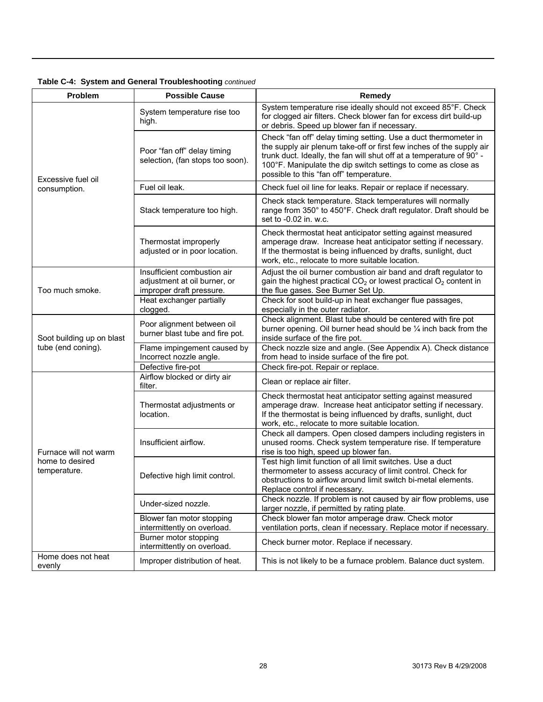|  |  |  | Table C-4: System and General Troubleshooting continued |  |
|--|--|--|---------------------------------------------------------|--|
|--|--|--|---------------------------------------------------------|--|

| Problem                                                  | <b>Possible Cause</b>                                                                   | Remedy                                                                                                                                                                                                                                                                                                                      |
|----------------------------------------------------------|-----------------------------------------------------------------------------------------|-----------------------------------------------------------------------------------------------------------------------------------------------------------------------------------------------------------------------------------------------------------------------------------------------------------------------------|
|                                                          | System temperature rise too<br>high.                                                    | System temperature rise ideally should not exceed 85°F. Check<br>for clogged air filters. Check blower fan for excess dirt build-up<br>or debris. Speed up blower fan if necessary.                                                                                                                                         |
| Excessive fuel oil                                       | Poor "fan off" delay timing<br>selection, (fan stops too soon).                         | Check "fan off" delay timing setting. Use a duct thermometer in<br>the supply air plenum take-off or first few inches of the supply air<br>trunk duct. Ideally, the fan will shut off at a temperature of 90° -<br>100°F. Manipulate the dip switch settings to come as close as<br>possible to this "fan off" temperature. |
| consumption.                                             | Fuel oil leak.                                                                          | Check fuel oil line for leaks. Repair or replace if necessary.                                                                                                                                                                                                                                                              |
|                                                          | Stack temperature too high.                                                             | Check stack temperature. Stack temperatures will normally<br>range from 350° to 450°F. Check draft regulator. Draft should be<br>set to -0.02 in. w.c.                                                                                                                                                                      |
|                                                          | Thermostat improperly<br>adjusted or in poor location.                                  | Check thermostat heat anticipator setting against measured<br>amperage draw. Increase heat anticipator setting if necessary.<br>If the thermostat is being influenced by drafts, sunlight, duct<br>work, etc., relocate to more suitable location.                                                                          |
| Too much smoke.                                          | Insufficient combustion air<br>adjustment at oil burner, or<br>improper draft pressure. | Adjust the oil burner combustion air band and draft regulator to<br>gain the highest practical $CO2$ or lowest practical $O2$ content in<br>the flue gases. See Burner Set Up.                                                                                                                                              |
|                                                          | Heat exchanger partially<br>clogged.                                                    | Check for soot build-up in heat exchanger flue passages,<br>especially in the outer radiator.                                                                                                                                                                                                                               |
| Soot building up on blast                                | Poor alignment between oil<br>burner blast tube and fire pot.                           | Check alignment. Blast tube should be centered with fire pot<br>burner opening. Oil burner head should be 1/4 inch back from the<br>inside surface of the fire pot.                                                                                                                                                         |
| tube (end coning).                                       | Flame impingement caused by<br>Incorrect nozzle angle.                                  | Check nozzle size and angle. (See Appendix A). Check distance<br>from head to inside surface of the fire pot.                                                                                                                                                                                                               |
|                                                          | Defective fire-pot                                                                      | Check fire-pot. Repair or replace.                                                                                                                                                                                                                                                                                          |
|                                                          | Airflow blocked or dirty air<br>filter.                                                 | Clean or replace air filter.                                                                                                                                                                                                                                                                                                |
|                                                          | Thermostat adjustments or<br>location.                                                  | Check thermostat heat anticipator setting against measured<br>amperage draw. Increase heat anticipator setting if necessary.<br>If the thermostat is being influenced by drafts, sunlight, duct<br>work, etc., relocate to more suitable location.                                                                          |
| Furnace will not warm<br>home to desired<br>temperature. | Insufficient airflow.                                                                   | Check all dampers. Open closed dampers including registers in<br>unused rooms. Check system temperature rise. If temperature<br>rise is too high, speed up blower fan.                                                                                                                                                      |
|                                                          | Defective high limit control.                                                           | Test high limit function of all limit switches. Use a duct<br>thermometer to assess accuracy of limit control. Check for<br>obstructions to airflow around limit switch bi-metal elements.<br>Replace control if necessary.                                                                                                 |
|                                                          | Under-sized nozzle.                                                                     | Check nozzle. If problem is not caused by air flow problems, use<br>larger nozzle, if permitted by rating plate.                                                                                                                                                                                                            |
|                                                          | Blower fan motor stopping<br>intermittently on overload.                                | Check blower fan motor amperage draw. Check motor<br>ventilation ports, clean if necessary. Replace motor if necessary.                                                                                                                                                                                                     |
|                                                          | Burner motor stopping<br>intermittently on overload.                                    | Check burner motor. Replace if necessary.                                                                                                                                                                                                                                                                                   |
| Home does not heat<br>evenly                             | Improper distribution of heat.                                                          | This is not likely to be a furnace problem. Balance duct system.                                                                                                                                                                                                                                                            |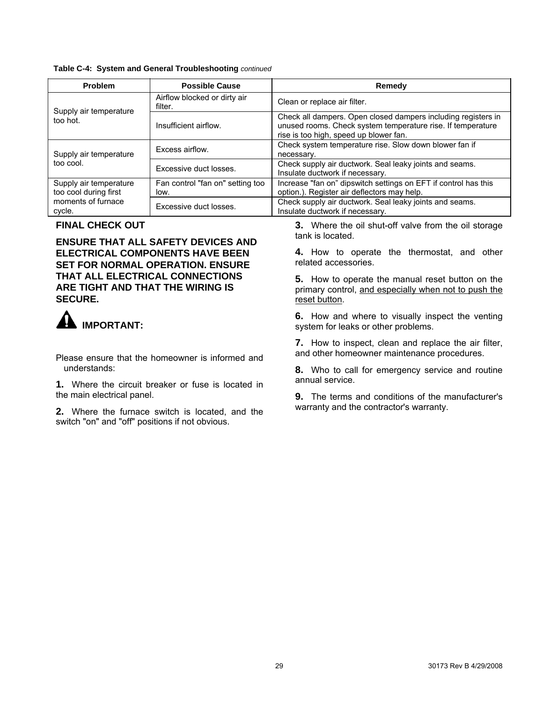#### <span id="page-28-0"></span>**Table C-4: System and General Troubleshooting** *continued*

| <b>Problem</b>                                  | <b>Possible Cause</b>                    | Remedy                                                                                                                                                                 |
|-------------------------------------------------|------------------------------------------|------------------------------------------------------------------------------------------------------------------------------------------------------------------------|
| Supply air temperature                          | Airflow blocked or dirty air<br>filter.  | Clean or replace air filter.                                                                                                                                           |
| too hot.                                        | Insufficient airflow.                    | Check all dampers. Open closed dampers including registers in<br>unused rooms. Check system temperature rise. If temperature<br>rise is too high, speed up blower fan. |
| Supply air temperature                          | Excess airflow.                          | Check system temperature rise. Slow down blower fan if<br>necessary.                                                                                                   |
| too cool.                                       | Excessive duct losses.                   | Check supply air ductwork. Seal leaky joints and seams.<br>Insulate ductwork if necessary.                                                                             |
| Supply air temperature<br>too cool during first | Fan control "fan on" setting too<br>low. | Increase "fan on" dipswitch settings on EFT if control has this<br>option.). Register air deflectors may help.                                                         |
| moments of furnace<br>cycle.                    | Excessive duct losses.                   | Check supply air ductwork. Seal leaky joints and seams.<br>Insulate ductwork if necessary.                                                                             |

**ENSURE THAT ALL SAFETY DEVICES AND ELECTRICAL COMPONENTS HAVE BEEN SET FOR NORMAL OPERATION. ENSURE THAT ALL ELECTRICAL CONNECTIONS ARE TIGHT AND THAT THE WIRING IS SECURE.**



and other homeowner maintenance procedures. Please ensure that the homeowner is informed and

annual service. **1.** Where the circuit breaker or fuse is located in the main electrical panel. **9.** The terms and conditions of the manufacturer's

warranty and the contractor's warranty. **2.** Where the furnace switch is located, and the switch "on" and "off" positions if not obvious.

**FINAL CHECK OUT**<br> **3.** Where the oil shut-off valve from the oil storage<br>
tank is located.

**4.** How to operate the thermostat, and other related accessories.

**5.** How to operate the manual reset button on the primary control, and especially when not to push the reset button.

**6.** How and where to visually inspect the venting **IMPORTANT: IMPORTANT:** system for leaks or other problems.

**7.** How to inspect, clean and replace the air filter,

understands: **8.** Who to call for emergency service and routine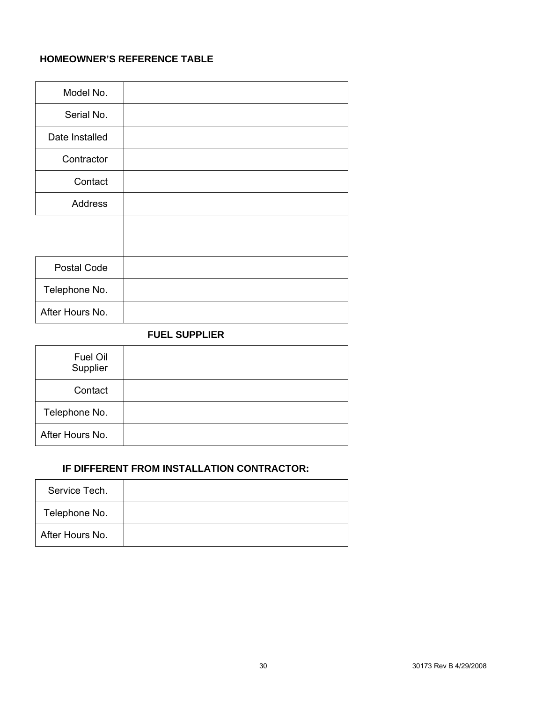### <span id="page-29-0"></span>**HOMEOWNER'S REFERENCE TABLE**

| Model No.       |  |
|-----------------|--|
| Serial No.      |  |
| Date Installed  |  |
| Contractor      |  |
| Contact         |  |
| Address         |  |
|                 |  |
|                 |  |
| Postal Code     |  |
| Telephone No.   |  |
| After Hours No. |  |

#### **FUEL SUPPLIER**

| Fuel Oil<br>Supplier |  |
|----------------------|--|
| Contact              |  |
| Telephone No.        |  |
| After Hours No.      |  |

#### **IF DIFFERENT FROM INSTALLATION CONTRACTOR:**

| Service Tech.   |  |
|-----------------|--|
| Telephone No.   |  |
| After Hours No. |  |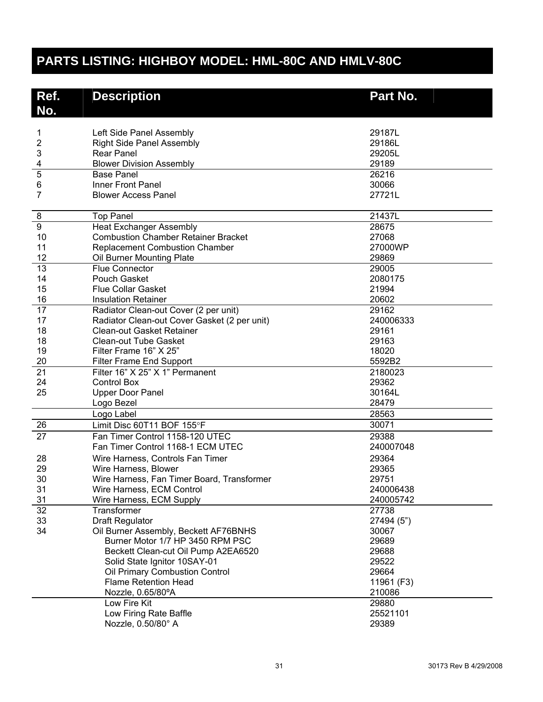## <span id="page-30-0"></span>**PARTS LISTING: HIGHBOY MODEL: HML-80C AND HMLV-80C**

| No.<br>Left Side Panel Assembly<br>29187L<br>1<br>2<br>29186L<br><b>Right Side Panel Assembly</b><br>3<br><b>Rear Panel</b><br>29205L<br>29189<br><b>Blower Division Assembly</b><br>4<br>5<br>26216<br><b>Base Panel</b><br>Inner Front Panel<br>30066<br>6<br>$\overline{7}$<br>27721L<br><b>Blower Access Panel</b><br>21437L<br>8<br><b>Top Panel</b><br>9<br><b>Heat Exchanger Assembly</b><br>28675<br><b>Combustion Chamber Retainer Bracket</b><br>27068<br>10<br>11<br><b>Replacement Combustion Chamber</b><br>27000WP<br>12<br>Oil Burner Mounting Plate<br>29869<br>$\overline{13}$<br><b>Flue Connector</b><br>29005<br>14<br>Pouch Gasket<br>2080175<br>15<br><b>Flue Collar Gasket</b><br>21994<br>16<br>20602<br><b>Insulation Retainer</b><br>$\overline{17}$<br>Radiator Clean-out Cover (2 per unit)<br>29162<br>17<br>Radiator Clean-out Cover Gasket (2 per unit)<br>240006333<br>18<br><b>Clean-out Gasket Retainer</b><br>29161<br>18<br><b>Clean-out Tube Gasket</b><br>29163<br>19<br>Filter Frame 16" X 25"<br>18020<br>20<br><b>Filter Frame End Support</b><br>5592B2<br>21<br>Filter 16" X 25" X 1" Permanent<br>2180023<br>24<br><b>Control Box</b><br>29362<br>25<br><b>Upper Door Panel</b><br>30164L<br>28479<br>Logo Bezel<br>Logo Label<br>28563<br>26<br>30071<br>Limit Disc 60T11 BOF 155°F<br>27<br>Fan Timer Control 1158-120 UTEC<br>29388<br>Fan Timer Control 1168-1 ECM UTEC<br>240007048<br>29364<br>28<br>Wire Harness, Controls Fan Timer<br>29<br>29365<br>Wire Harness, Blower<br>30<br>29751<br>Wire Harness, Fan Timer Board, Transformer<br>31<br>Wire Harness, ECM Control<br>240006438<br>31<br>Wire Harness, ECM Supply<br>240005742<br>32<br>Transformer<br>27738<br>33<br><b>Draft Regulator</b><br>27494 (5")<br>34<br>Oil Burner Assembly, Beckett AF76BNHS<br>30067<br>Burner Motor 1/7 HP 3450 RPM PSC<br>29689<br>Beckett Clean-cut Oil Pump A2EA6520<br>29688<br>Solid State Ignitor 10SAY-01<br>29522<br>Oil Primary Combustion Control<br>29664<br><b>Flame Retention Head</b><br>11961 (F3)<br>Nozzle, 0.65/80°A<br>210086<br>Low Fire Kit<br>29880<br>Low Firing Rate Baffle<br>25521101 | Ref. | <b>Description</b> | Part No. |
|------------------------------------------------------------------------------------------------------------------------------------------------------------------------------------------------------------------------------------------------------------------------------------------------------------------------------------------------------------------------------------------------------------------------------------------------------------------------------------------------------------------------------------------------------------------------------------------------------------------------------------------------------------------------------------------------------------------------------------------------------------------------------------------------------------------------------------------------------------------------------------------------------------------------------------------------------------------------------------------------------------------------------------------------------------------------------------------------------------------------------------------------------------------------------------------------------------------------------------------------------------------------------------------------------------------------------------------------------------------------------------------------------------------------------------------------------------------------------------------------------------------------------------------------------------------------------------------------------------------------------------------------------------------------------------------------------------------------------------------------------------------------------------------------------------------------------------------------------------------------------------------------------------------------------------------------------------------------------------------------------------------------------------------------------------------------------------------------------------------------------------------------------------|------|--------------------|----------|
|                                                                                                                                                                                                                                                                                                                                                                                                                                                                                                                                                                                                                                                                                                                                                                                                                                                                                                                                                                                                                                                                                                                                                                                                                                                                                                                                                                                                                                                                                                                                                                                                                                                                                                                                                                                                                                                                                                                                                                                                                                                                                                                                                            |      |                    |          |
|                                                                                                                                                                                                                                                                                                                                                                                                                                                                                                                                                                                                                                                                                                                                                                                                                                                                                                                                                                                                                                                                                                                                                                                                                                                                                                                                                                                                                                                                                                                                                                                                                                                                                                                                                                                                                                                                                                                                                                                                                                                                                                                                                            |      |                    |          |
|                                                                                                                                                                                                                                                                                                                                                                                                                                                                                                                                                                                                                                                                                                                                                                                                                                                                                                                                                                                                                                                                                                                                                                                                                                                                                                                                                                                                                                                                                                                                                                                                                                                                                                                                                                                                                                                                                                                                                                                                                                                                                                                                                            |      |                    |          |
|                                                                                                                                                                                                                                                                                                                                                                                                                                                                                                                                                                                                                                                                                                                                                                                                                                                                                                                                                                                                                                                                                                                                                                                                                                                                                                                                                                                                                                                                                                                                                                                                                                                                                                                                                                                                                                                                                                                                                                                                                                                                                                                                                            |      |                    |          |
|                                                                                                                                                                                                                                                                                                                                                                                                                                                                                                                                                                                                                                                                                                                                                                                                                                                                                                                                                                                                                                                                                                                                                                                                                                                                                                                                                                                                                                                                                                                                                                                                                                                                                                                                                                                                                                                                                                                                                                                                                                                                                                                                                            |      |                    |          |
|                                                                                                                                                                                                                                                                                                                                                                                                                                                                                                                                                                                                                                                                                                                                                                                                                                                                                                                                                                                                                                                                                                                                                                                                                                                                                                                                                                                                                                                                                                                                                                                                                                                                                                                                                                                                                                                                                                                                                                                                                                                                                                                                                            |      |                    |          |
|                                                                                                                                                                                                                                                                                                                                                                                                                                                                                                                                                                                                                                                                                                                                                                                                                                                                                                                                                                                                                                                                                                                                                                                                                                                                                                                                                                                                                                                                                                                                                                                                                                                                                                                                                                                                                                                                                                                                                                                                                                                                                                                                                            |      |                    |          |
|                                                                                                                                                                                                                                                                                                                                                                                                                                                                                                                                                                                                                                                                                                                                                                                                                                                                                                                                                                                                                                                                                                                                                                                                                                                                                                                                                                                                                                                                                                                                                                                                                                                                                                                                                                                                                                                                                                                                                                                                                                                                                                                                                            |      |                    |          |
|                                                                                                                                                                                                                                                                                                                                                                                                                                                                                                                                                                                                                                                                                                                                                                                                                                                                                                                                                                                                                                                                                                                                                                                                                                                                                                                                                                                                                                                                                                                                                                                                                                                                                                                                                                                                                                                                                                                                                                                                                                                                                                                                                            |      |                    |          |
|                                                                                                                                                                                                                                                                                                                                                                                                                                                                                                                                                                                                                                                                                                                                                                                                                                                                                                                                                                                                                                                                                                                                                                                                                                                                                                                                                                                                                                                                                                                                                                                                                                                                                                                                                                                                                                                                                                                                                                                                                                                                                                                                                            |      |                    |          |
|                                                                                                                                                                                                                                                                                                                                                                                                                                                                                                                                                                                                                                                                                                                                                                                                                                                                                                                                                                                                                                                                                                                                                                                                                                                                                                                                                                                                                                                                                                                                                                                                                                                                                                                                                                                                                                                                                                                                                                                                                                                                                                                                                            |      |                    |          |
|                                                                                                                                                                                                                                                                                                                                                                                                                                                                                                                                                                                                                                                                                                                                                                                                                                                                                                                                                                                                                                                                                                                                                                                                                                                                                                                                                                                                                                                                                                                                                                                                                                                                                                                                                                                                                                                                                                                                                                                                                                                                                                                                                            |      |                    |          |
|                                                                                                                                                                                                                                                                                                                                                                                                                                                                                                                                                                                                                                                                                                                                                                                                                                                                                                                                                                                                                                                                                                                                                                                                                                                                                                                                                                                                                                                                                                                                                                                                                                                                                                                                                                                                                                                                                                                                                                                                                                                                                                                                                            |      |                    |          |
|                                                                                                                                                                                                                                                                                                                                                                                                                                                                                                                                                                                                                                                                                                                                                                                                                                                                                                                                                                                                                                                                                                                                                                                                                                                                                                                                                                                                                                                                                                                                                                                                                                                                                                                                                                                                                                                                                                                                                                                                                                                                                                                                                            |      |                    |          |
|                                                                                                                                                                                                                                                                                                                                                                                                                                                                                                                                                                                                                                                                                                                                                                                                                                                                                                                                                                                                                                                                                                                                                                                                                                                                                                                                                                                                                                                                                                                                                                                                                                                                                                                                                                                                                                                                                                                                                                                                                                                                                                                                                            |      |                    |          |
|                                                                                                                                                                                                                                                                                                                                                                                                                                                                                                                                                                                                                                                                                                                                                                                                                                                                                                                                                                                                                                                                                                                                                                                                                                                                                                                                                                                                                                                                                                                                                                                                                                                                                                                                                                                                                                                                                                                                                                                                                                                                                                                                                            |      |                    |          |
|                                                                                                                                                                                                                                                                                                                                                                                                                                                                                                                                                                                                                                                                                                                                                                                                                                                                                                                                                                                                                                                                                                                                                                                                                                                                                                                                                                                                                                                                                                                                                                                                                                                                                                                                                                                                                                                                                                                                                                                                                                                                                                                                                            |      |                    |          |
|                                                                                                                                                                                                                                                                                                                                                                                                                                                                                                                                                                                                                                                                                                                                                                                                                                                                                                                                                                                                                                                                                                                                                                                                                                                                                                                                                                                                                                                                                                                                                                                                                                                                                                                                                                                                                                                                                                                                                                                                                                                                                                                                                            |      |                    |          |
|                                                                                                                                                                                                                                                                                                                                                                                                                                                                                                                                                                                                                                                                                                                                                                                                                                                                                                                                                                                                                                                                                                                                                                                                                                                                                                                                                                                                                                                                                                                                                                                                                                                                                                                                                                                                                                                                                                                                                                                                                                                                                                                                                            |      |                    |          |
|                                                                                                                                                                                                                                                                                                                                                                                                                                                                                                                                                                                                                                                                                                                                                                                                                                                                                                                                                                                                                                                                                                                                                                                                                                                                                                                                                                                                                                                                                                                                                                                                                                                                                                                                                                                                                                                                                                                                                                                                                                                                                                                                                            |      |                    |          |
|                                                                                                                                                                                                                                                                                                                                                                                                                                                                                                                                                                                                                                                                                                                                                                                                                                                                                                                                                                                                                                                                                                                                                                                                                                                                                                                                                                                                                                                                                                                                                                                                                                                                                                                                                                                                                                                                                                                                                                                                                                                                                                                                                            |      |                    |          |
|                                                                                                                                                                                                                                                                                                                                                                                                                                                                                                                                                                                                                                                                                                                                                                                                                                                                                                                                                                                                                                                                                                                                                                                                                                                                                                                                                                                                                                                                                                                                                                                                                                                                                                                                                                                                                                                                                                                                                                                                                                                                                                                                                            |      |                    |          |
|                                                                                                                                                                                                                                                                                                                                                                                                                                                                                                                                                                                                                                                                                                                                                                                                                                                                                                                                                                                                                                                                                                                                                                                                                                                                                                                                                                                                                                                                                                                                                                                                                                                                                                                                                                                                                                                                                                                                                                                                                                                                                                                                                            |      |                    |          |
|                                                                                                                                                                                                                                                                                                                                                                                                                                                                                                                                                                                                                                                                                                                                                                                                                                                                                                                                                                                                                                                                                                                                                                                                                                                                                                                                                                                                                                                                                                                                                                                                                                                                                                                                                                                                                                                                                                                                                                                                                                                                                                                                                            |      |                    |          |
|                                                                                                                                                                                                                                                                                                                                                                                                                                                                                                                                                                                                                                                                                                                                                                                                                                                                                                                                                                                                                                                                                                                                                                                                                                                                                                                                                                                                                                                                                                                                                                                                                                                                                                                                                                                                                                                                                                                                                                                                                                                                                                                                                            |      |                    |          |
|                                                                                                                                                                                                                                                                                                                                                                                                                                                                                                                                                                                                                                                                                                                                                                                                                                                                                                                                                                                                                                                                                                                                                                                                                                                                                                                                                                                                                                                                                                                                                                                                                                                                                                                                                                                                                                                                                                                                                                                                                                                                                                                                                            |      |                    |          |
|                                                                                                                                                                                                                                                                                                                                                                                                                                                                                                                                                                                                                                                                                                                                                                                                                                                                                                                                                                                                                                                                                                                                                                                                                                                                                                                                                                                                                                                                                                                                                                                                                                                                                                                                                                                                                                                                                                                                                                                                                                                                                                                                                            |      |                    |          |
|                                                                                                                                                                                                                                                                                                                                                                                                                                                                                                                                                                                                                                                                                                                                                                                                                                                                                                                                                                                                                                                                                                                                                                                                                                                                                                                                                                                                                                                                                                                                                                                                                                                                                                                                                                                                                                                                                                                                                                                                                                                                                                                                                            |      |                    |          |
|                                                                                                                                                                                                                                                                                                                                                                                                                                                                                                                                                                                                                                                                                                                                                                                                                                                                                                                                                                                                                                                                                                                                                                                                                                                                                                                                                                                                                                                                                                                                                                                                                                                                                                                                                                                                                                                                                                                                                                                                                                                                                                                                                            |      |                    |          |
|                                                                                                                                                                                                                                                                                                                                                                                                                                                                                                                                                                                                                                                                                                                                                                                                                                                                                                                                                                                                                                                                                                                                                                                                                                                                                                                                                                                                                                                                                                                                                                                                                                                                                                                                                                                                                                                                                                                                                                                                                                                                                                                                                            |      |                    |          |
|                                                                                                                                                                                                                                                                                                                                                                                                                                                                                                                                                                                                                                                                                                                                                                                                                                                                                                                                                                                                                                                                                                                                                                                                                                                                                                                                                                                                                                                                                                                                                                                                                                                                                                                                                                                                                                                                                                                                                                                                                                                                                                                                                            |      |                    |          |
|                                                                                                                                                                                                                                                                                                                                                                                                                                                                                                                                                                                                                                                                                                                                                                                                                                                                                                                                                                                                                                                                                                                                                                                                                                                                                                                                                                                                                                                                                                                                                                                                                                                                                                                                                                                                                                                                                                                                                                                                                                                                                                                                                            |      |                    |          |
|                                                                                                                                                                                                                                                                                                                                                                                                                                                                                                                                                                                                                                                                                                                                                                                                                                                                                                                                                                                                                                                                                                                                                                                                                                                                                                                                                                                                                                                                                                                                                                                                                                                                                                                                                                                                                                                                                                                                                                                                                                                                                                                                                            |      |                    |          |
|                                                                                                                                                                                                                                                                                                                                                                                                                                                                                                                                                                                                                                                                                                                                                                                                                                                                                                                                                                                                                                                                                                                                                                                                                                                                                                                                                                                                                                                                                                                                                                                                                                                                                                                                                                                                                                                                                                                                                                                                                                                                                                                                                            |      |                    |          |
|                                                                                                                                                                                                                                                                                                                                                                                                                                                                                                                                                                                                                                                                                                                                                                                                                                                                                                                                                                                                                                                                                                                                                                                                                                                                                                                                                                                                                                                                                                                                                                                                                                                                                                                                                                                                                                                                                                                                                                                                                                                                                                                                                            |      |                    |          |
|                                                                                                                                                                                                                                                                                                                                                                                                                                                                                                                                                                                                                                                                                                                                                                                                                                                                                                                                                                                                                                                                                                                                                                                                                                                                                                                                                                                                                                                                                                                                                                                                                                                                                                                                                                                                                                                                                                                                                                                                                                                                                                                                                            |      |                    |          |
|                                                                                                                                                                                                                                                                                                                                                                                                                                                                                                                                                                                                                                                                                                                                                                                                                                                                                                                                                                                                                                                                                                                                                                                                                                                                                                                                                                                                                                                                                                                                                                                                                                                                                                                                                                                                                                                                                                                                                                                                                                                                                                                                                            |      |                    |          |
|                                                                                                                                                                                                                                                                                                                                                                                                                                                                                                                                                                                                                                                                                                                                                                                                                                                                                                                                                                                                                                                                                                                                                                                                                                                                                                                                                                                                                                                                                                                                                                                                                                                                                                                                                                                                                                                                                                                                                                                                                                                                                                                                                            |      |                    |          |
|                                                                                                                                                                                                                                                                                                                                                                                                                                                                                                                                                                                                                                                                                                                                                                                                                                                                                                                                                                                                                                                                                                                                                                                                                                                                                                                                                                                                                                                                                                                                                                                                                                                                                                                                                                                                                                                                                                                                                                                                                                                                                                                                                            |      |                    |          |
|                                                                                                                                                                                                                                                                                                                                                                                                                                                                                                                                                                                                                                                                                                                                                                                                                                                                                                                                                                                                                                                                                                                                                                                                                                                                                                                                                                                                                                                                                                                                                                                                                                                                                                                                                                                                                                                                                                                                                                                                                                                                                                                                                            |      |                    |          |
|                                                                                                                                                                                                                                                                                                                                                                                                                                                                                                                                                                                                                                                                                                                                                                                                                                                                                                                                                                                                                                                                                                                                                                                                                                                                                                                                                                                                                                                                                                                                                                                                                                                                                                                                                                                                                                                                                                                                                                                                                                                                                                                                                            |      |                    |          |
|                                                                                                                                                                                                                                                                                                                                                                                                                                                                                                                                                                                                                                                                                                                                                                                                                                                                                                                                                                                                                                                                                                                                                                                                                                                                                                                                                                                                                                                                                                                                                                                                                                                                                                                                                                                                                                                                                                                                                                                                                                                                                                                                                            |      |                    |          |
|                                                                                                                                                                                                                                                                                                                                                                                                                                                                                                                                                                                                                                                                                                                                                                                                                                                                                                                                                                                                                                                                                                                                                                                                                                                                                                                                                                                                                                                                                                                                                                                                                                                                                                                                                                                                                                                                                                                                                                                                                                                                                                                                                            |      |                    |          |
|                                                                                                                                                                                                                                                                                                                                                                                                                                                                                                                                                                                                                                                                                                                                                                                                                                                                                                                                                                                                                                                                                                                                                                                                                                                                                                                                                                                                                                                                                                                                                                                                                                                                                                                                                                                                                                                                                                                                                                                                                                                                                                                                                            |      |                    |          |
|                                                                                                                                                                                                                                                                                                                                                                                                                                                                                                                                                                                                                                                                                                                                                                                                                                                                                                                                                                                                                                                                                                                                                                                                                                                                                                                                                                                                                                                                                                                                                                                                                                                                                                                                                                                                                                                                                                                                                                                                                                                                                                                                                            |      |                    |          |
|                                                                                                                                                                                                                                                                                                                                                                                                                                                                                                                                                                                                                                                                                                                                                                                                                                                                                                                                                                                                                                                                                                                                                                                                                                                                                                                                                                                                                                                                                                                                                                                                                                                                                                                                                                                                                                                                                                                                                                                                                                                                                                                                                            |      |                    |          |
|                                                                                                                                                                                                                                                                                                                                                                                                                                                                                                                                                                                                                                                                                                                                                                                                                                                                                                                                                                                                                                                                                                                                                                                                                                                                                                                                                                                                                                                                                                                                                                                                                                                                                                                                                                                                                                                                                                                                                                                                                                                                                                                                                            |      | Nozzle, 0.50/80° A | 29389    |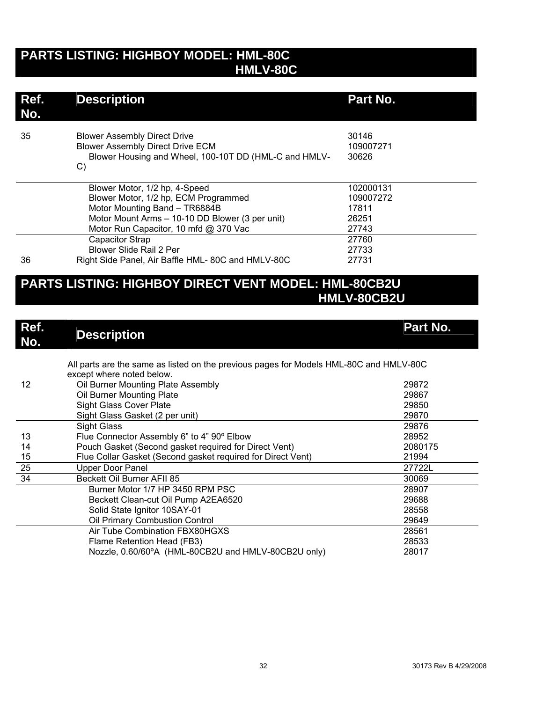## **PARTS LISTING: HIGHBOY MODEL: HML-80C HMLV-80C**

| Ref.<br>No. | <b>Description</b>                                                                                                                                                                                 | Part No.                                          |
|-------------|----------------------------------------------------------------------------------------------------------------------------------------------------------------------------------------------------|---------------------------------------------------|
| 35          | <b>Blower Assembly Direct Drive</b><br><b>Blower Assembly Direct Drive ECM</b><br>Blower Housing and Wheel, 100-10T DD (HML-C and HMLV-<br>$\mathcal{C}$                                           | 30146<br>109007271<br>30626                       |
|             | Blower Motor, 1/2 hp, 4-Speed<br>Blower Motor, 1/2 hp, ECM Programmed<br>Motor Mounting Band - TR6884B<br>Motor Mount Arms - 10-10 DD Blower (3 per unit)<br>Motor Run Capacitor, 10 mfd @ 370 Vac | 102000131<br>109007272<br>17811<br>26251<br>27743 |
| 36          | Capacitor Strap<br><b>Blower Slide Rail 2 Per</b><br>Right Side Panel, Air Baffle HML-80C and HMLV-80C                                                                                             | 27760<br>27733<br>27731                           |

## **PARTS LISTING: HIGHBOY DIRECT VENT MODEL: HML-80CB2U HMLV-80CB2U**

| Ref.<br>No. | <b>Description</b>                                                                                                  | Part No. |
|-------------|---------------------------------------------------------------------------------------------------------------------|----------|
|             | All parts are the same as listed on the previous pages for Models HML-80C and HMLV-80C<br>except where noted below. |          |
| 12          | Oil Burner Mounting Plate Assembly                                                                                  | 29872    |
|             | Oil Burner Mounting Plate                                                                                           | 29867    |
|             | <b>Sight Glass Cover Plate</b>                                                                                      | 29850    |
|             | Sight Glass Gasket (2 per unit)                                                                                     | 29870    |
|             | <b>Sight Glass</b>                                                                                                  | 29876    |
| 13          | Flue Connector Assembly 6" to 4" 90° Elbow                                                                          | 28952    |
| 14          | Pouch Gasket (Second gasket required for Direct Vent)                                                               | 2080175  |
| 15          | Flue Collar Gasket (Second gasket required for Direct Vent)                                                         | 21994    |
| 25          | <b>Upper Door Panel</b>                                                                                             | 27722L   |
| 34          | Beckett Oil Burner AFII 85                                                                                          | 30069    |
|             | Burner Motor 1/7 HP 3450 RPM PSC                                                                                    | 28907    |
|             | Beckett Clean-cut Oil Pump A2EA6520                                                                                 | 29688    |
|             | Solid State Ignitor 10SAY-01                                                                                        | 28558    |
|             | Oil Primary Combustion Control                                                                                      | 29649    |
|             | Air Tube Combination FBX80HGXS                                                                                      | 28561    |
|             | Flame Retention Head (FB3)                                                                                          | 28533    |
|             | Nozzle, 0.60/60°A (HML-80CB2U and HMLV-80CB2U only)                                                                 | 28017    |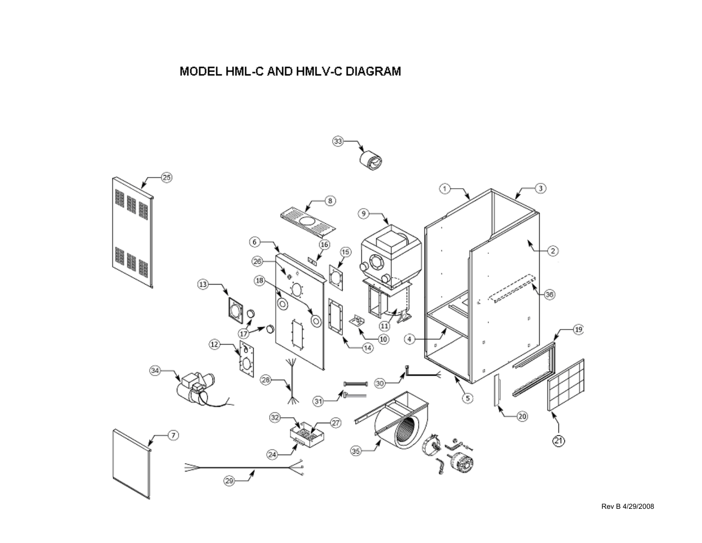## MODEL HML-C AND HMLV-C DIAGRAM